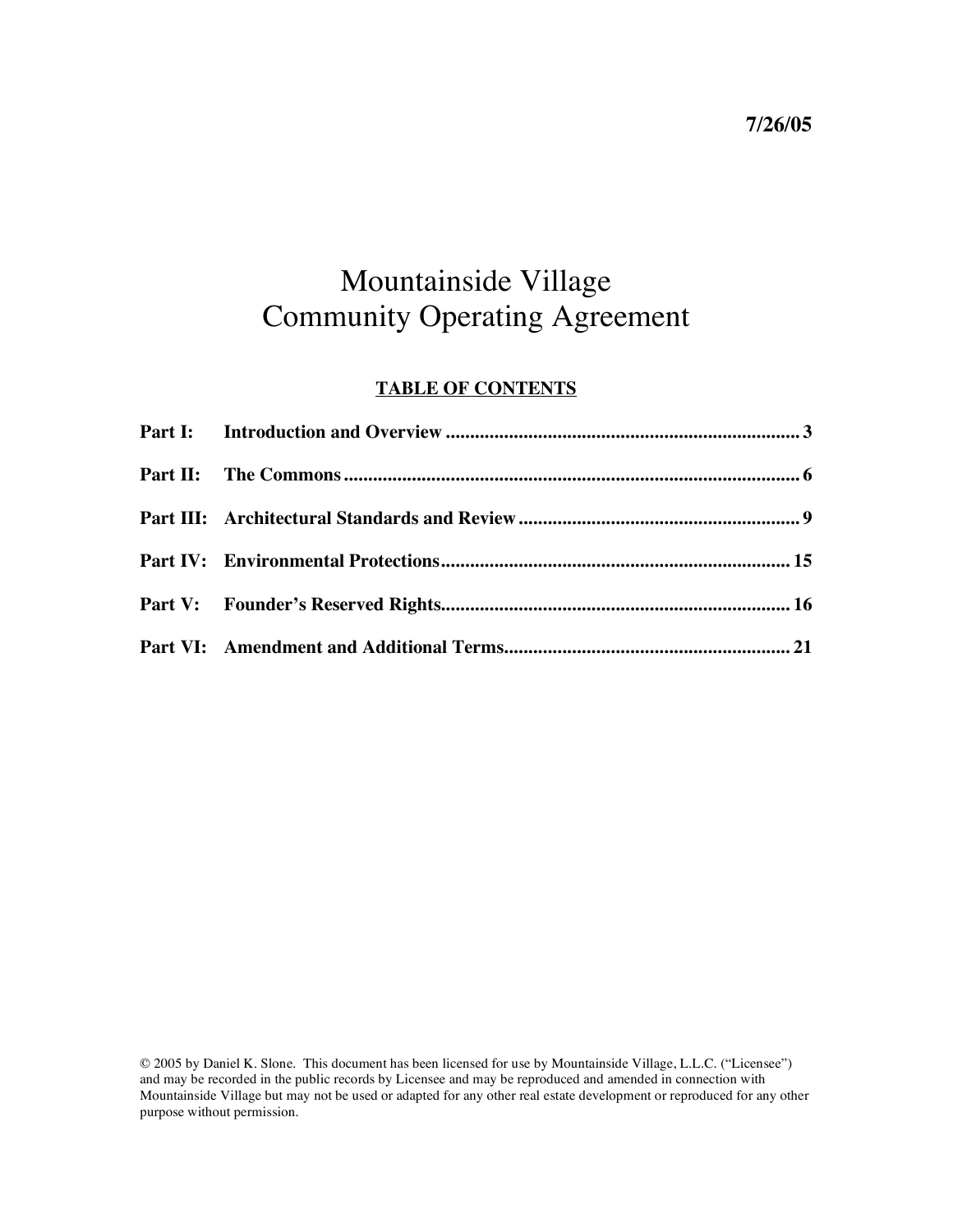### Mountainside Village Community Operating Agreement

### **TABLE OF CONTENTS**

© 2005 by Daniel K. Slone. This document has been licensed for use by Mountainside Village, L.L.C. ("Licensee") and may be recorded in the public records by Licensee and may be reproduced and amended in connection with Mountainside Village but may not be used or adapted for any other real estate development or reproduced for any other purpose without permission.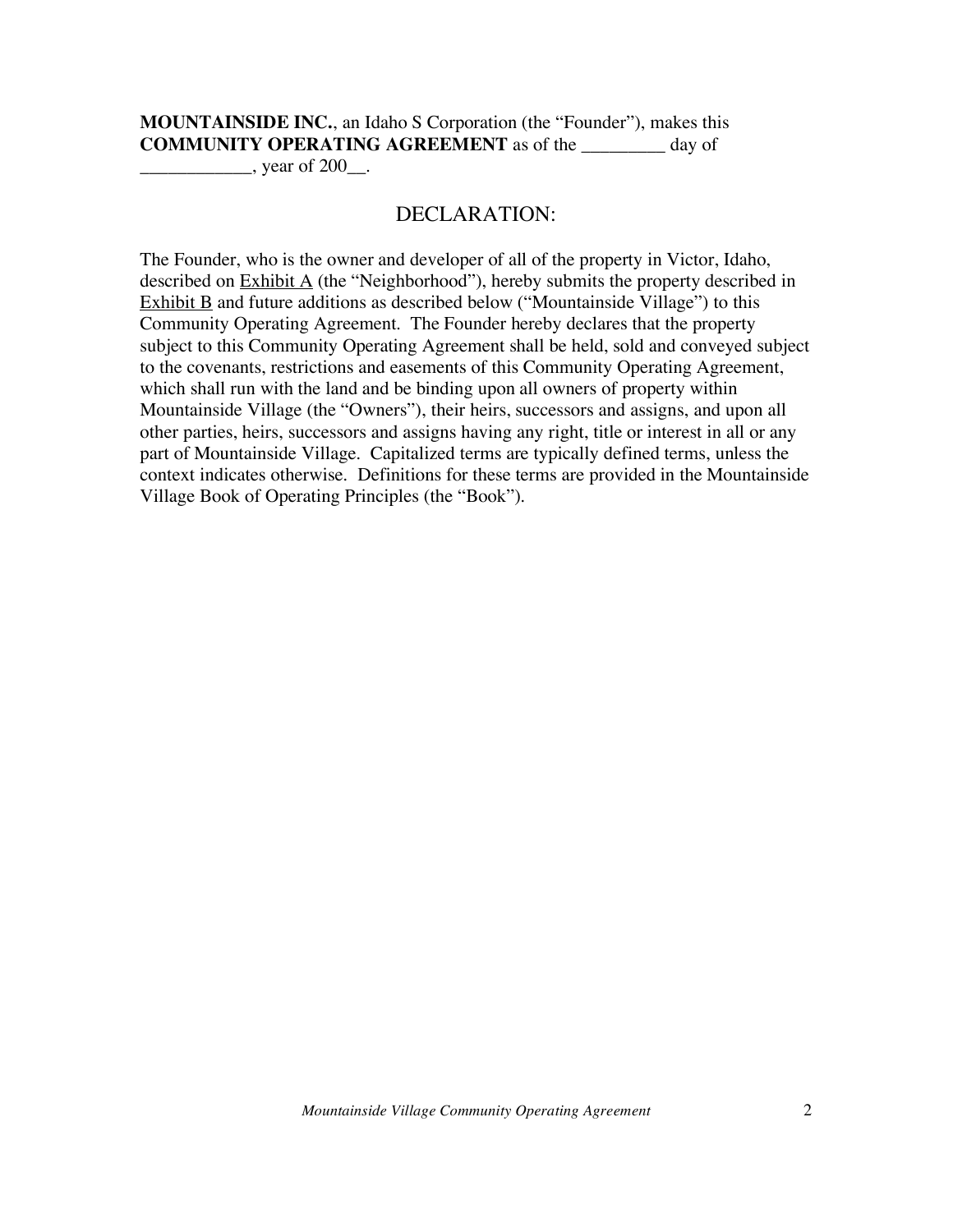**MOUNTAINSIDE INC.**, an Idaho S Corporation (the "Founder"), makes this **COMMUNITY OPERATING AGREEMENT** as of the \_\_\_\_\_\_\_\_\_ day of  $\frac{\text{year}}{\text{year}}$ , year of 200 $\frac{\text{arc}}{\text{arc}}$ .

#### DECLARATION:

The Founder, who is the owner and developer of all of the property in Victor, Idaho, described on  $\overline{\text{Exhibit A}}$  (the "Neighborhood"), hereby submits the property described in Exhibit  $\overline{B}$  and future additions as described below ("Mountainside Village") to this Community Operating Agreement. The Founder hereby declares that the property subject to this Community Operating Agreement shall be held, sold and conveyed subject to the covenants, restrictions and easements of this Community Operating Agreement, which shall run with the land and be binding upon all owners of property within Mountainside Village (the "Owners"), their heirs, successors and assigns, and upon all other parties, heirs, successors and assigns having any right, title or interest in all or any part of Mountainside Village. Capitalized terms are typically defined terms, unless the context indicates otherwise. Definitions for these terms are provided in the Mountainside Village Book of Operating Principles (the "Book").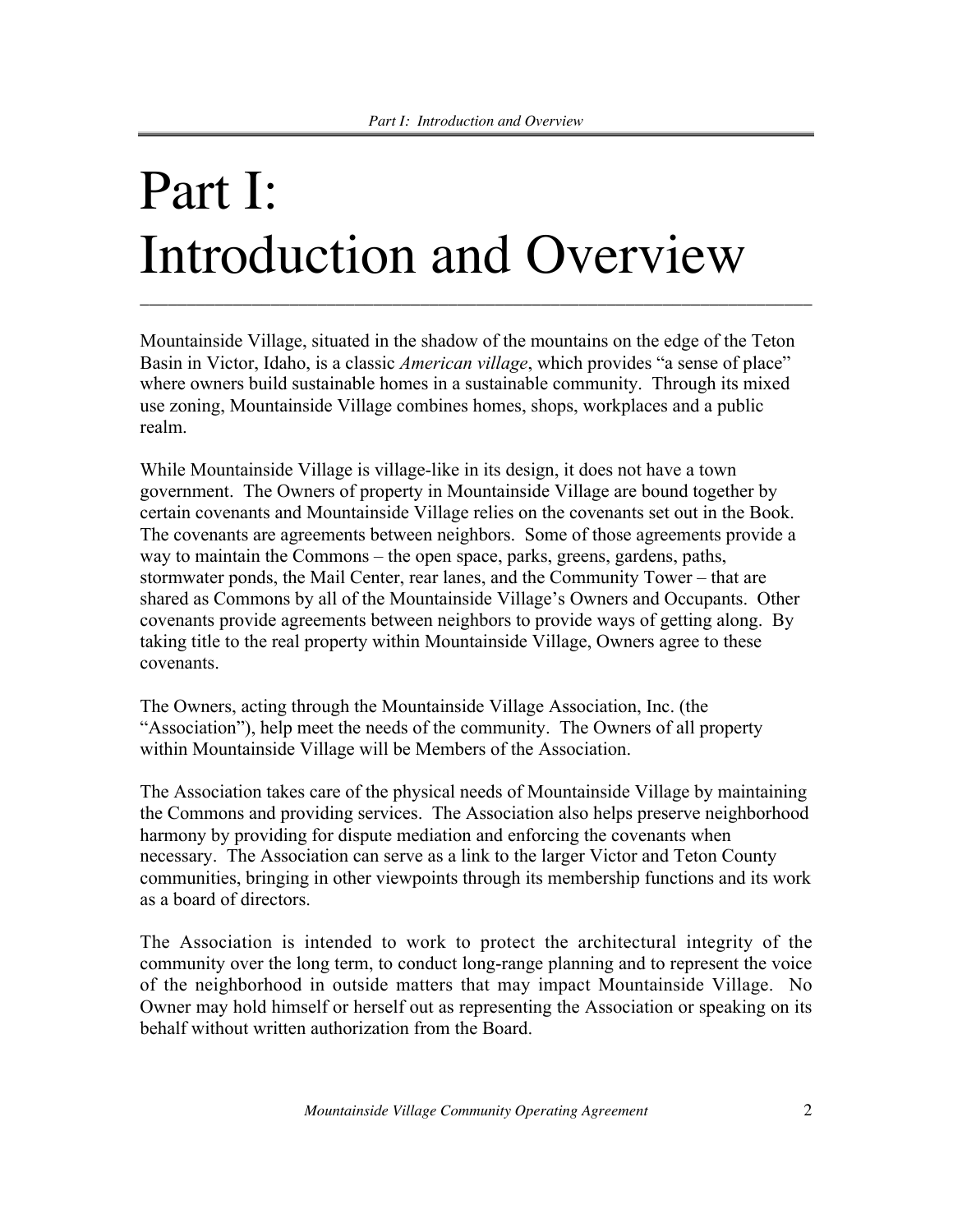# Part I: Introduction and Overview

Mountainside Village, situated in the shadow of the mountains on the edge of the Teton Basin in Victor, Idaho, is a classic *American village*, which provides "a sense of place" where owners build sustainable homes in a sustainable community. Through its mixed use zoning, Mountainside Village combines homes, shops, workplaces and a public realm.

\_\_\_\_\_\_\_\_\_\_\_\_\_\_\_\_\_\_\_\_\_\_\_\_\_\_\_\_\_\_\_\_\_\_\_\_\_\_\_\_\_\_\_\_\_\_\_\_\_\_\_\_\_\_\_\_\_\_\_\_\_\_\_\_\_\_\_\_\_\_\_\_

While Mountainside Village is village-like in its design, it does not have a town government. The Owners of property in Mountainside Village are bound together by certain covenants and Mountainside Village relies on the covenants set out in the Book. The covenants are agreements between neighbors. Some of those agreements provide a way to maintain the Commons – the open space, parks, greens, gardens, paths, stormwater ponds, the Mail Center, rear lanes, and the Community Tower – that are shared as Commons by all of the Mountainside Village's Owners and Occupants. Other covenants provide agreements between neighbors to provide ways of getting along. By taking title to the real property within Mountainside Village, Owners agree to these covenants.

The Owners, acting through the Mountainside Village Association, Inc. (the "Association"), help meet the needs of the community. The Owners of all property within Mountainside Village will be Members of the Association.

The Association takes care of the physical needs of Mountainside Village by maintaining the Commons and providing services. The Association also helps preserve neighborhood harmony by providing for dispute mediation and enforcing the covenants when necessary. The Association can serve as a link to the larger Victor and Teton County communities, bringing in other viewpoints through its membership functions and its work as a board of directors.

The Association is intended to work to protect the architectural integrity of the community over the long term, to conduct long-range planning and to represent the voice of the neighborhood in outside matters that may impact Mountainside Village. No Owner may hold himself or herself out as representing the Association or speaking on its behalf without written authorization from the Board.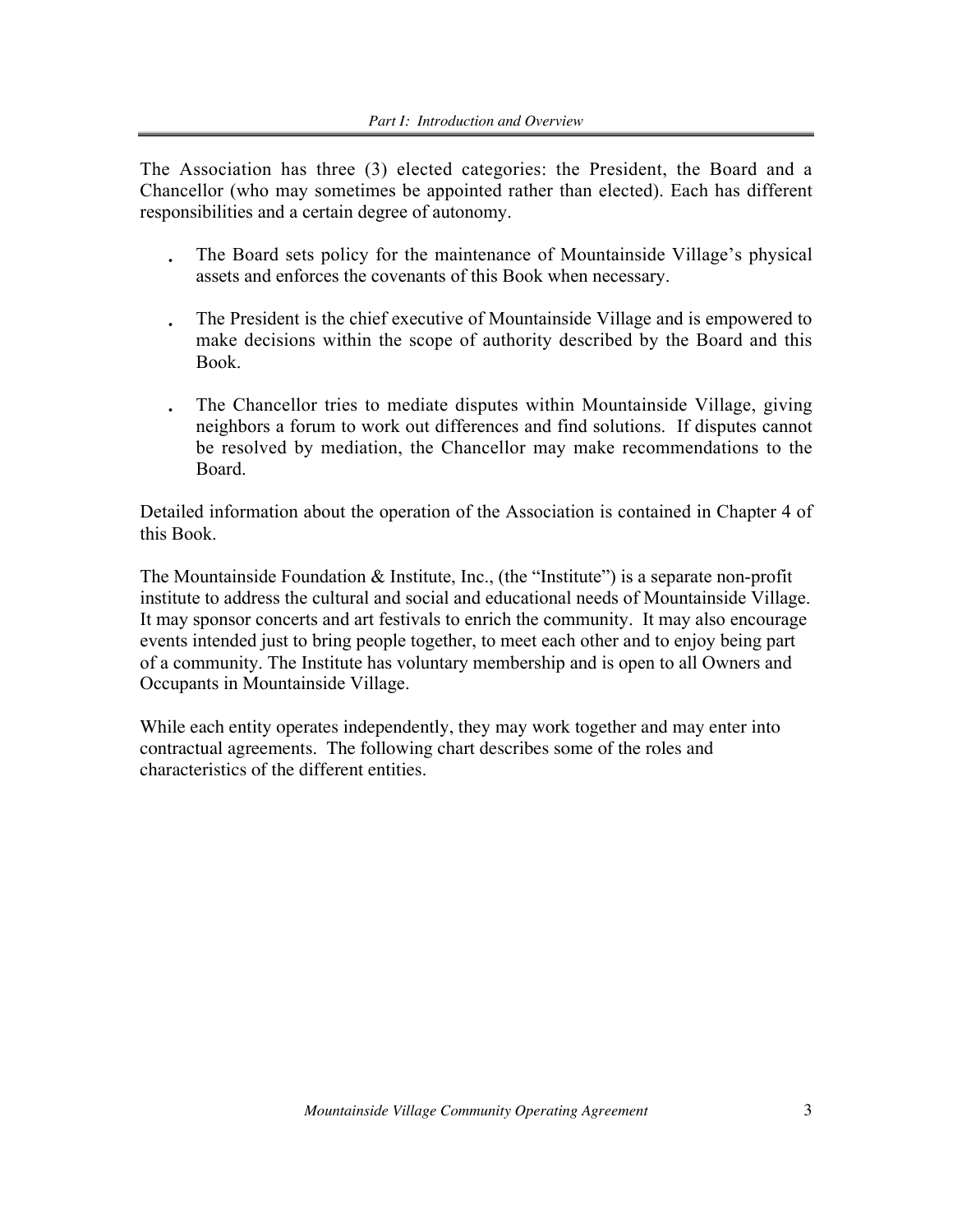The Association has three (3) elected categories: the President, the Board and a Chancellor (who may sometimes be appointed rather than elected). Each has different responsibilities and a certain degree of autonomy.

- The Board sets policy for the maintenance of Mountainside Village's physical assets and enforces the covenants of this Book when necessary.
- The President is the chief executive of Mountainside Village and is empowered to make decisions within the scope of authority described by the Board and this Book.
- The Chancellor tries to mediate disputes within Mountainside Village, giving neighbors a forum to work out differences and find solutions. If disputes cannot be resolved by mediation, the Chancellor may make recommendations to the Board.

Detailed information about the operation of the Association is contained in Chapter 4 of this Book.

The Mountainside Foundation & Institute, Inc., (the "Institute") is a separate non-profit institute to address the cultural and social and educational needs of Mountainside Village. It may sponsor concerts and art festivals to enrich the community. It may also encourage events intended just to bring people together, to meet each other and to enjoy being part of a community. The Institute has voluntary membership and is open to all Owners and Occupants in Mountainside Village.

While each entity operates independently, they may work together and may enter into contractual agreements. The following chart describes some of the roles and characteristics of the different entities.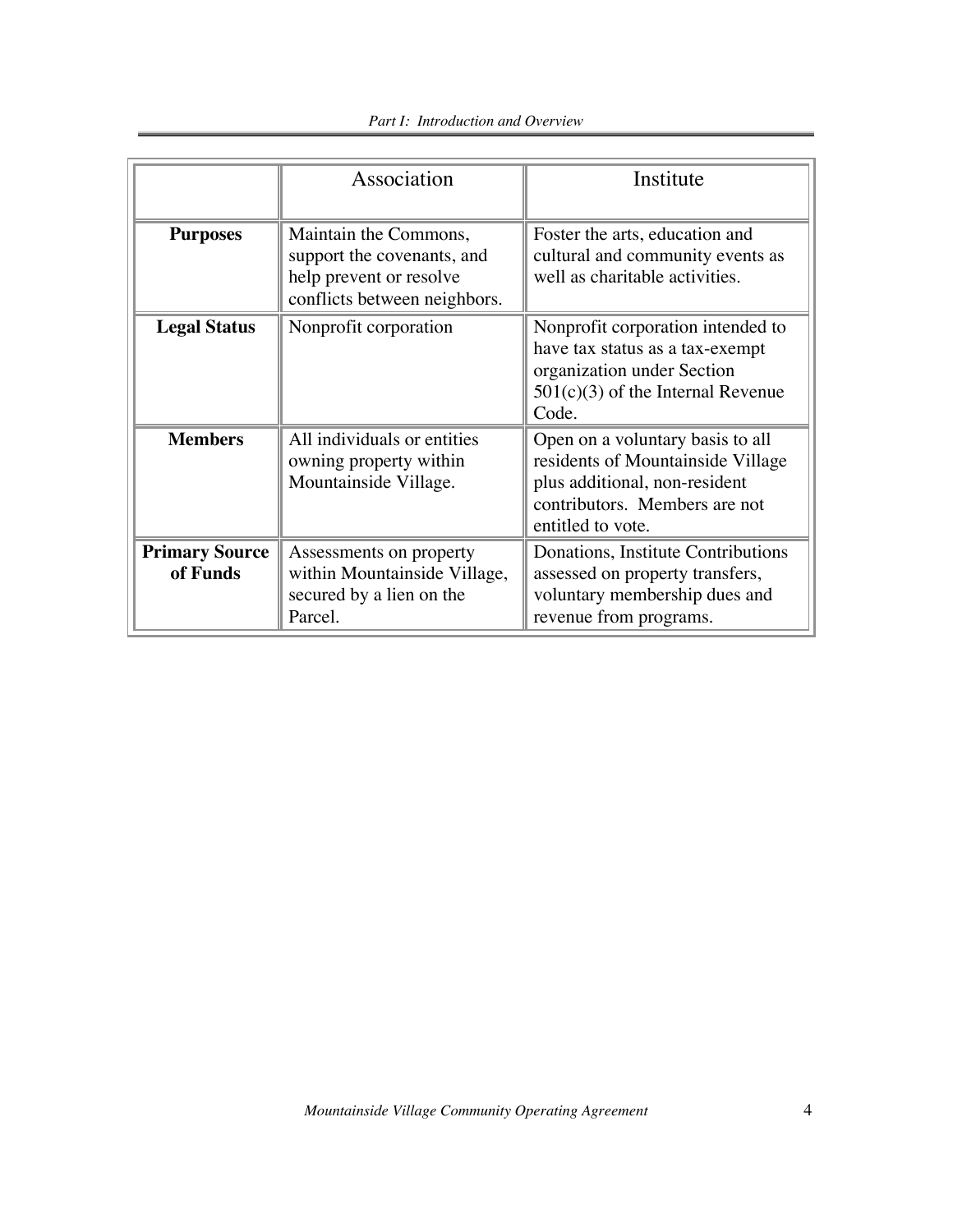|                                   | Association                                                                                                    | Institute                                                                                                                                                    |
|-----------------------------------|----------------------------------------------------------------------------------------------------------------|--------------------------------------------------------------------------------------------------------------------------------------------------------------|
| <b>Purposes</b>                   | Maintain the Commons,<br>support the covenants, and<br>help prevent or resolve<br>conflicts between neighbors. | Foster the arts, education and<br>cultural and community events as<br>well as charitable activities.                                                         |
| <b>Legal Status</b>               | Nonprofit corporation                                                                                          | Nonprofit corporation intended to<br>have tax status as a tax-exempt<br>organization under Section<br>$501(c)(3)$ of the Internal Revenue<br>Code.           |
| <b>Members</b>                    | All individuals or entities<br>owning property within<br>Mountainside Village.                                 | Open on a voluntary basis to all<br>residents of Mountainside Village<br>plus additional, non-resident<br>contributors. Members are not<br>entitled to vote. |
| <b>Primary Source</b><br>of Funds | Assessments on property<br>within Mountainside Village,<br>secured by a lien on the<br>Parcel.                 | Donations, Institute Contributions<br>assessed on property transfers,<br>voluntary membership dues and<br>revenue from programs.                             |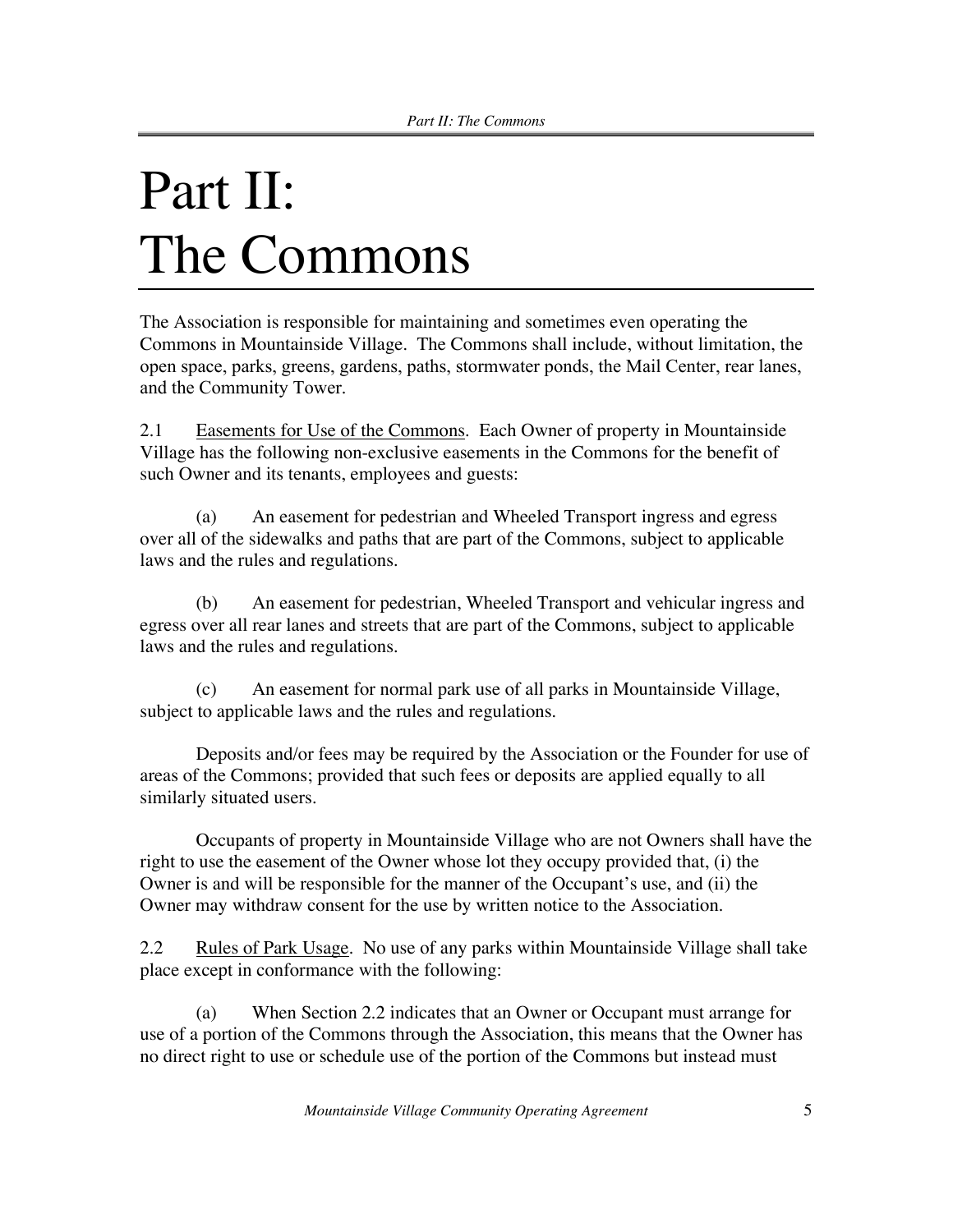### Part II: The Commons

The Association is responsible for maintaining and sometimes even operating the Commons in Mountainside Village. The Commons shall include, without limitation, the open space, parks, greens, gardens, paths, stormwater ponds, the Mail Center, rear lanes, and the Community Tower.

2.1 Easements for Use of the Commons. Each Owner of property in Mountainside Village has the following non-exclusive easements in the Commons for the benefit of such Owner and its tenants, employees and guests:

(a) An easement for pedestrian and Wheeled Transport ingress and egress over all of the sidewalks and paths that are part of the Commons, subject to applicable laws and the rules and regulations.

(b) An easement for pedestrian, Wheeled Transport and vehicular ingress and egress over all rear lanes and streets that are part of the Commons, subject to applicable laws and the rules and regulations.

(c) An easement for normal park use of all parks in Mountainside Village, subject to applicable laws and the rules and regulations.

Deposits and/or fees may be required by the Association or the Founder for use of areas of the Commons; provided that such fees or deposits are applied equally to all similarly situated users.

Occupants of property in Mountainside Village who are not Owners shall have the right to use the easement of the Owner whose lot they occupy provided that, (i) the Owner is and will be responsible for the manner of the Occupant's use, and (ii) the Owner may withdraw consent for the use by written notice to the Association.

2.2 Rules of Park Usage. No use of any parks within Mountainside Village shall take place except in conformance with the following:

(a) When Section 2.2 indicates that an Owner or Occupant must arrange for use of a portion of the Commons through the Association, this means that the Owner has no direct right to use or schedule use of the portion of the Commons but instead must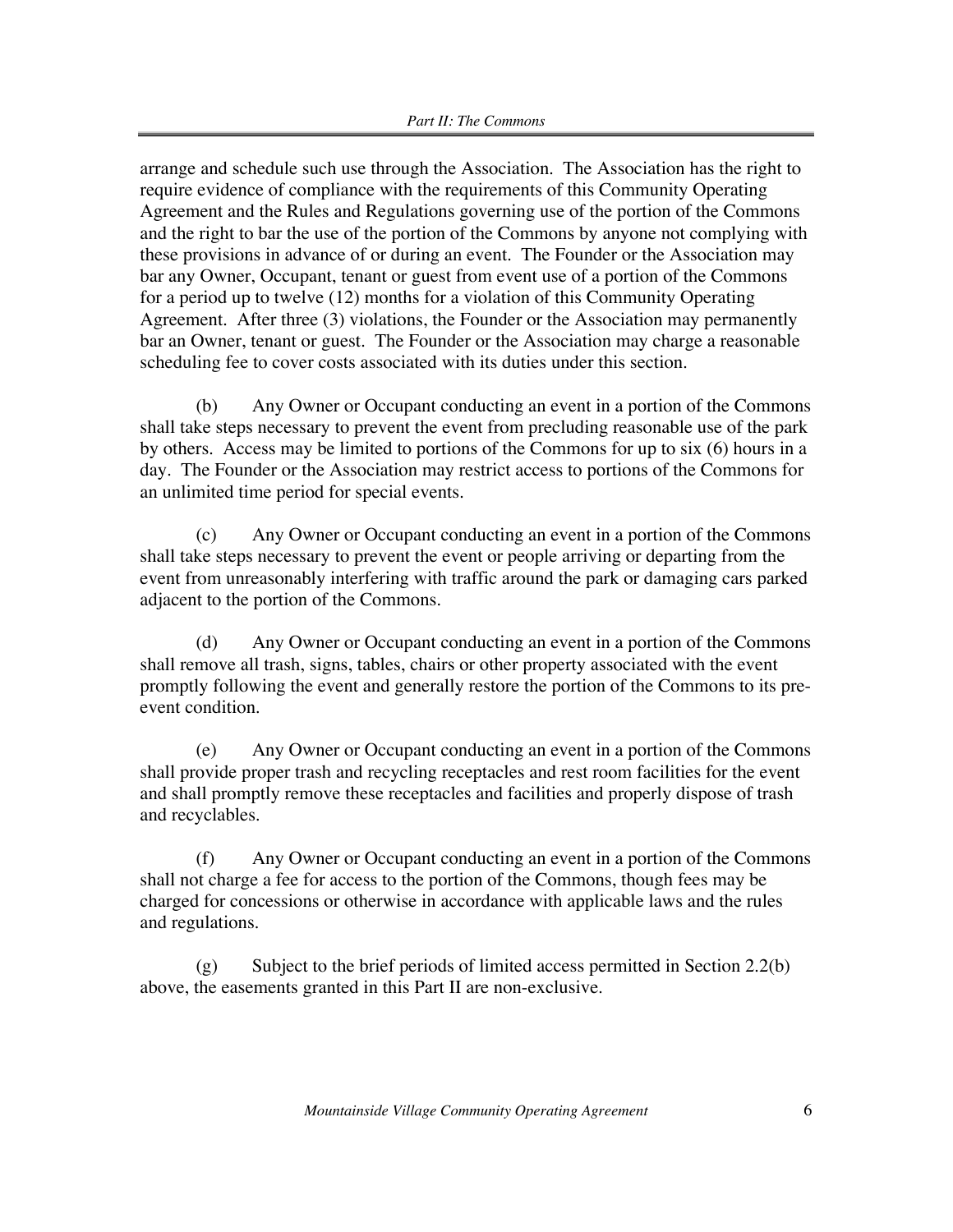arrange and schedule such use through the Association. The Association has the right to require evidence of compliance with the requirements of this Community Operating Agreement and the Rules and Regulations governing use of the portion of the Commons and the right to bar the use of the portion of the Commons by anyone not complying with these provisions in advance of or during an event. The Founder or the Association may bar any Owner, Occupant, tenant or guest from event use of a portion of the Commons for a period up to twelve (12) months for a violation of this Community Operating Agreement. After three (3) violations, the Founder or the Association may permanently bar an Owner, tenant or guest. The Founder or the Association may charge a reasonable scheduling fee to cover costs associated with its duties under this section.

(b) Any Owner or Occupant conducting an event in a portion of the Commons shall take steps necessary to prevent the event from precluding reasonable use of the park by others. Access may be limited to portions of the Commons for up to six (6) hours in a day. The Founder or the Association may restrict access to portions of the Commons for an unlimited time period for special events.

(c) Any Owner or Occupant conducting an event in a portion of the Commons shall take steps necessary to prevent the event or people arriving or departing from the event from unreasonably interfering with traffic around the park or damaging cars parked adjacent to the portion of the Commons.

(d) Any Owner or Occupant conducting an event in a portion of the Commons shall remove all trash, signs, tables, chairs or other property associated with the event promptly following the event and generally restore the portion of the Commons to its preevent condition.

(e) Any Owner or Occupant conducting an event in a portion of the Commons shall provide proper trash and recycling receptacles and rest room facilities for the event and shall promptly remove these receptacles and facilities and properly dispose of trash and recyclables.

(f) Any Owner or Occupant conducting an event in a portion of the Commons shall not charge a fee for access to the portion of the Commons, though fees may be charged for concessions or otherwise in accordance with applicable laws and the rules and regulations.

(g) Subject to the brief periods of limited access permitted in Section 2.2(b) above, the easements granted in this Part II are non-exclusive.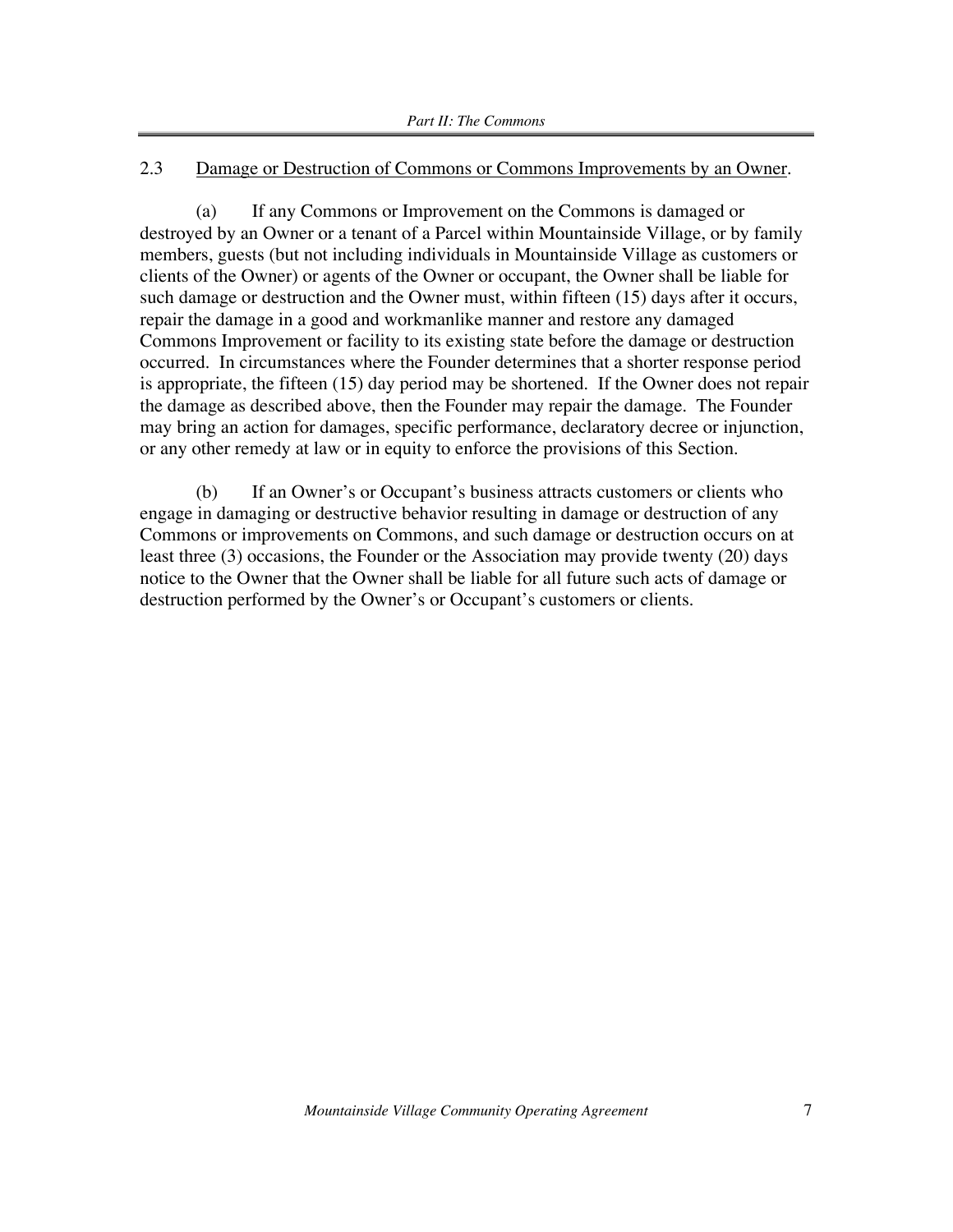#### 2.3 Damage or Destruction of Commons or Commons Improvements by an Owner.

(a) If any Commons or Improvement on the Commons is damaged or destroyed by an Owner or a tenant of a Parcel within Mountainside Village, or by family members, guests (but not including individuals in Mountainside Village as customers or clients of the Owner) or agents of the Owner or occupant, the Owner shall be liable for such damage or destruction and the Owner must, within fifteen (15) days after it occurs, repair the damage in a good and workmanlike manner and restore any damaged Commons Improvement or facility to its existing state before the damage or destruction occurred. In circumstances where the Founder determines that a shorter response period is appropriate, the fifteen (15) day period may be shortened. If the Owner does not repair the damage as described above, then the Founder may repair the damage. The Founder may bring an action for damages, specific performance, declaratory decree or injunction, or any other remedy at law or in equity to enforce the provisions of this Section.

(b) If an Owner's or Occupant's business attracts customers or clients who engage in damaging or destructive behavior resulting in damage or destruction of any Commons or improvements on Commons, and such damage or destruction occurs on at least three (3) occasions, the Founder or the Association may provide twenty (20) days notice to the Owner that the Owner shall be liable for all future such acts of damage or destruction performed by the Owner's or Occupant's customers or clients.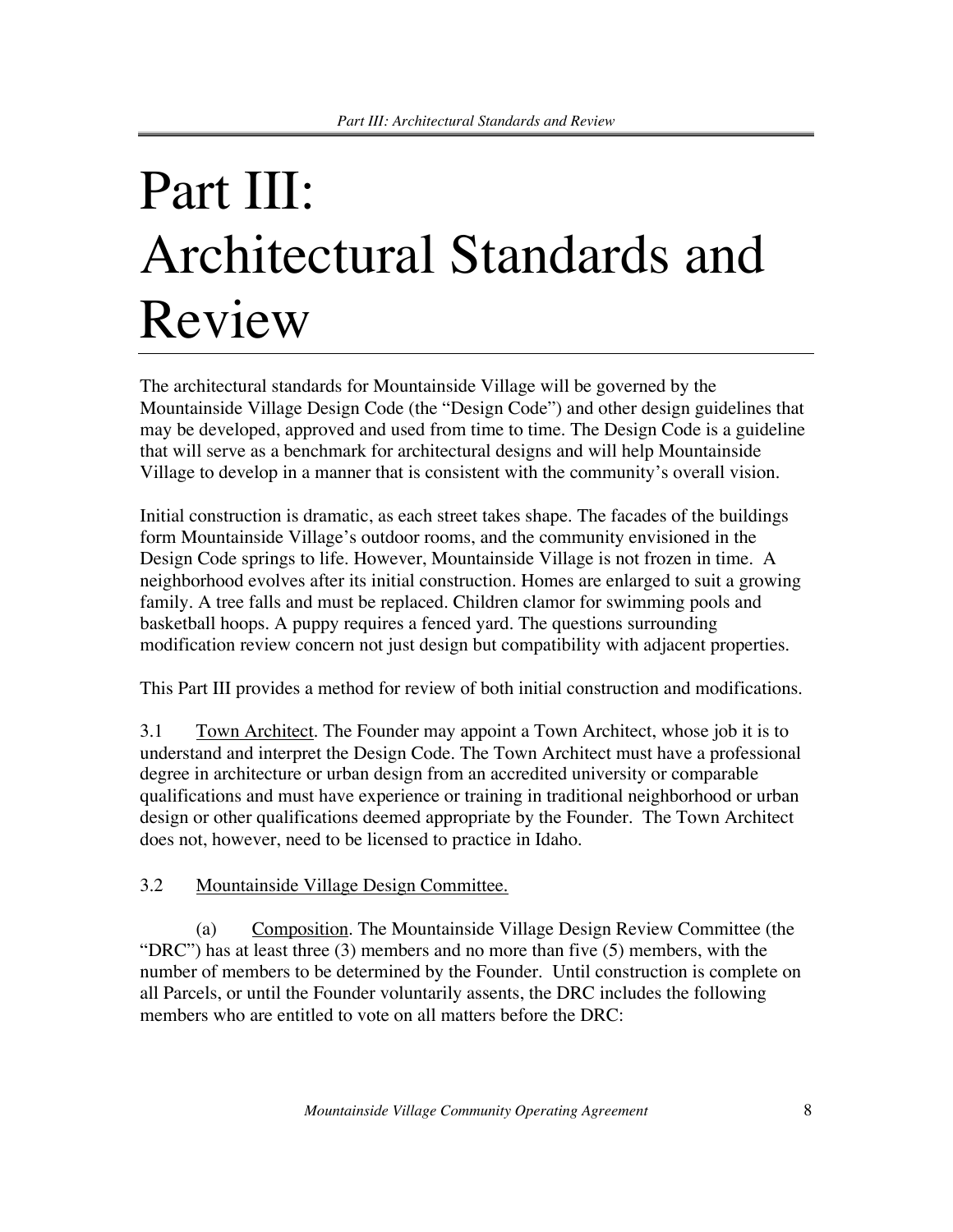### Part III: Architectural Standards and Review

The architectural standards for Mountainside Village will be governed by the Mountainside Village Design Code (the "Design Code") and other design guidelines that may be developed, approved and used from time to time. The Design Code is a guideline that will serve as a benchmark for architectural designs and will help Mountainside Village to develop in a manner that is consistent with the community's overall vision.

Initial construction is dramatic, as each street takes shape. The facades of the buildings form Mountainside Village's outdoor rooms, and the community envisioned in the Design Code springs to life. However, Mountainside Village is not frozen in time. A neighborhood evolves after its initial construction. Homes are enlarged to suit a growing family. A tree falls and must be replaced. Children clamor for swimming pools and basketball hoops. A puppy requires a fenced yard. The questions surrounding modification review concern not just design but compatibility with adjacent properties.

This Part III provides a method for review of both initial construction and modifications.

3.1 Town Architect. The Founder may appoint a Town Architect, whose job it is to understand and interpret the Design Code. The Town Architect must have a professional degree in architecture or urban design from an accredited university or comparable qualifications and must have experience or training in traditional neighborhood or urban design or other qualifications deemed appropriate by the Founder. The Town Architect does not, however, need to be licensed to practice in Idaho.

### 3.2 Mountainside Village Design Committee.

(a) Composition. The Mountainside Village Design Review Committee (the "DRC") has at least three (3) members and no more than five (5) members, with the number of members to be determined by the Founder. Until construction is complete on all Parcels, or until the Founder voluntarily assents, the DRC includes the following members who are entitled to vote on all matters before the DRC: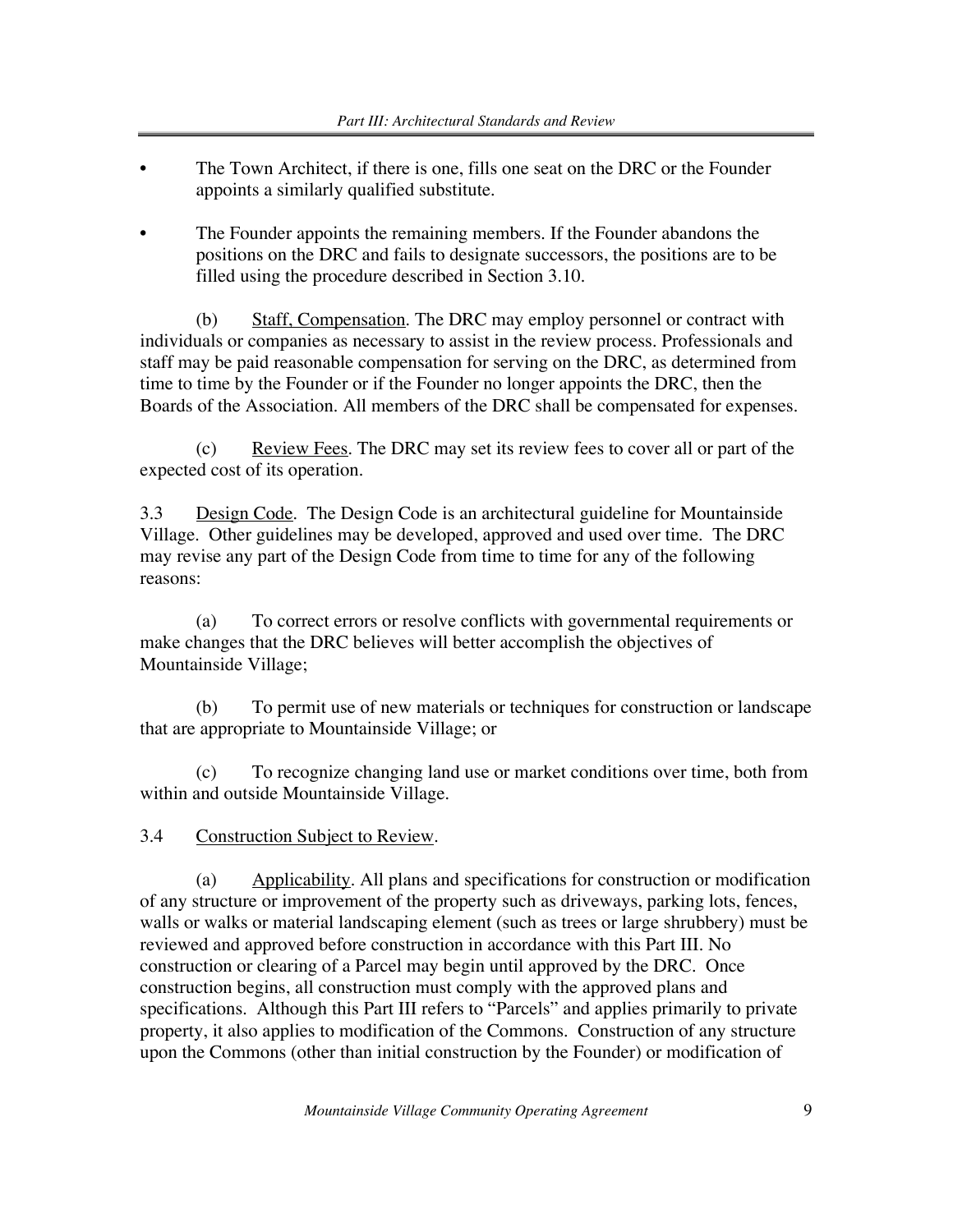- The Town Architect, if there is one, fills one seat on the DRC or the Founder appoints a similarly qualified substitute.
- The Founder appoints the remaining members. If the Founder abandons the positions on the DRC and fails to designate successors, the positions are to be filled using the procedure described in Section 3.10.

(b) Staff, Compensation. The DRC may employ personnel or contract with individuals or companies as necessary to assist in the review process. Professionals and staff may be paid reasonable compensation for serving on the DRC, as determined from time to time by the Founder or if the Founder no longer appoints the DRC, then the Boards of the Association. All members of the DRC shall be compensated for expenses.

 $(c)$  Review Fees. The DRC may set its review fees to cover all or part of the expected cost of its operation.

3.3 Design Code. The Design Code is an architectural guideline for Mountainside Village. Other guidelines may be developed, approved and used over time. The DRC may revise any part of the Design Code from time to time for any of the following reasons:

(a) To correct errors or resolve conflicts with governmental requirements or make changes that the DRC believes will better accomplish the objectives of Mountainside Village;

(b) To permit use of new materials or techniques for construction or landscape that are appropriate to Mountainside Village; or

(c) To recognize changing land use or market conditions over time, both from within and outside Mountainside Village.

3.4 Construction Subject to Review.

(a) Applicability. All plans and specifications for construction or modification of any structure or improvement of the property such as driveways, parking lots, fences, walls or walks or material landscaping element (such as trees or large shrubbery) must be reviewed and approved before construction in accordance with this Part III. No construction or clearing of a Parcel may begin until approved by the DRC. Once construction begins, all construction must comply with the approved plans and specifications. Although this Part III refers to "Parcels" and applies primarily to private property, it also applies to modification of the Commons. Construction of any structure upon the Commons (other than initial construction by the Founder) or modification of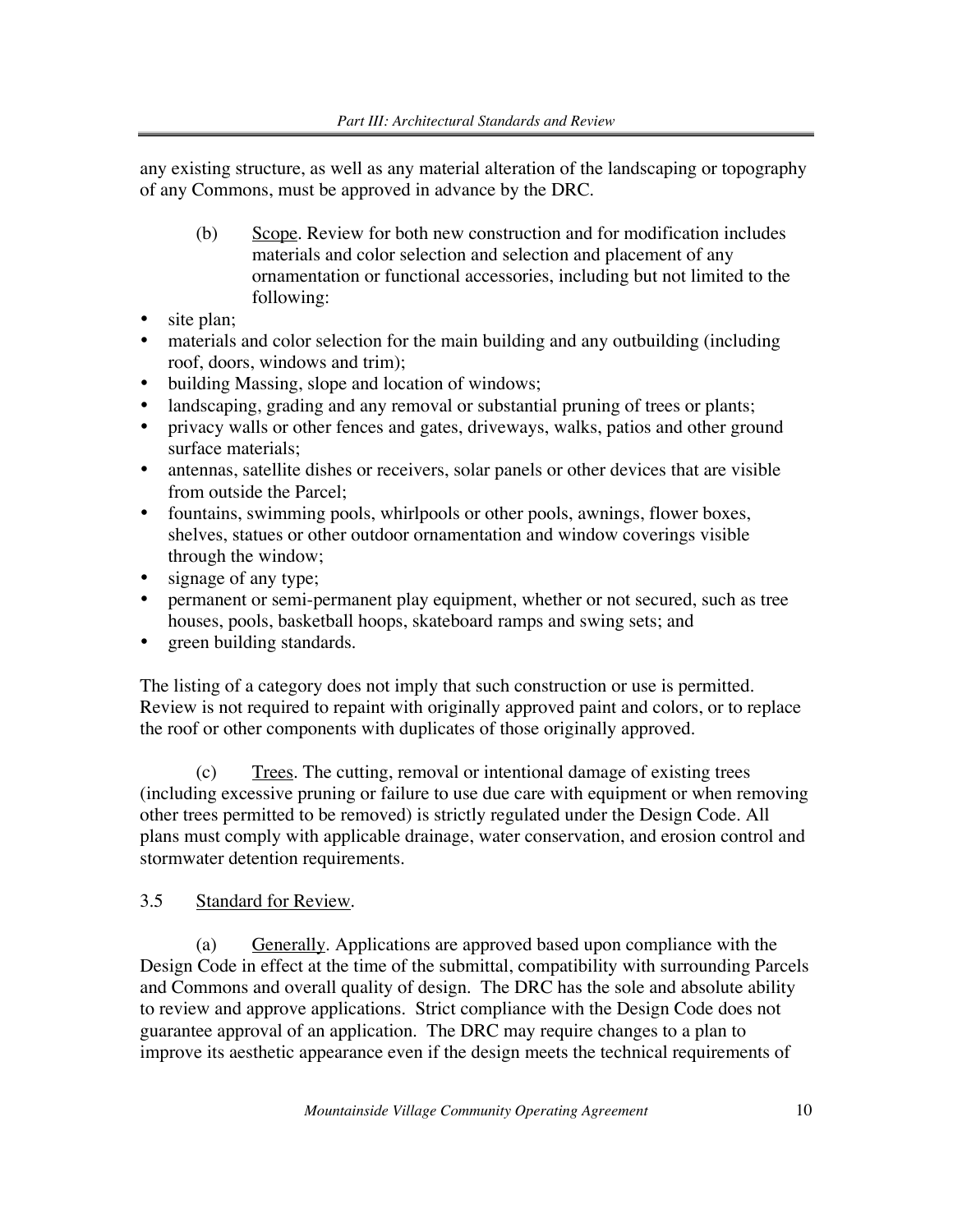any existing structure, as well as any material alteration of the landscaping or topography of any Commons, must be approved in advance by the DRC.

- (b) Scope. Review for both new construction and for modification includes materials and color selection and selection and placement of any ornamentation or functional accessories, including but not limited to the following:
- site plan;
- materials and color selection for the main building and any outbuilding (including roof, doors, windows and trim);
- building Massing, slope and location of windows;
- landscaping, grading and any removal or substantial pruning of trees or plants;
- privacy walls or other fences and gates, driveways, walks, patios and other ground surface materials;
- antennas, satellite dishes or receivers, solar panels or other devices that are visible from outside the Parcel;
- fountains, swimming pools, whirlpools or other pools, awnings, flower boxes, shelves, statues or other outdoor ornamentation and window coverings visible through the window;
- signage of any type;
- permanent or semi-permanent play equipment, whether or not secured, such as tree houses, pools, basketball hoops, skateboard ramps and swing sets; and
- green building standards.

The listing of a category does not imply that such construction or use is permitted. Review is not required to repaint with originally approved paint and colors, or to replace the roof or other components with duplicates of those originally approved.

(c) Trees. The cutting, removal or intentional damage of existing trees (including excessive pruning or failure to use due care with equipment or when removing other trees permitted to be removed) is strictly regulated under the Design Code. All plans must comply with applicable drainage, water conservation, and erosion control and stormwater detention requirements.

### 3.5 Standard for Review.

(a) Generally. Applications are approved based upon compliance with the Design Code in effect at the time of the submittal, compatibility with surrounding Parcels and Commons and overall quality of design. The DRC has the sole and absolute ability to review and approve applications. Strict compliance with the Design Code does not guarantee approval of an application. The DRC may require changes to a plan to improve its aesthetic appearance even if the design meets the technical requirements of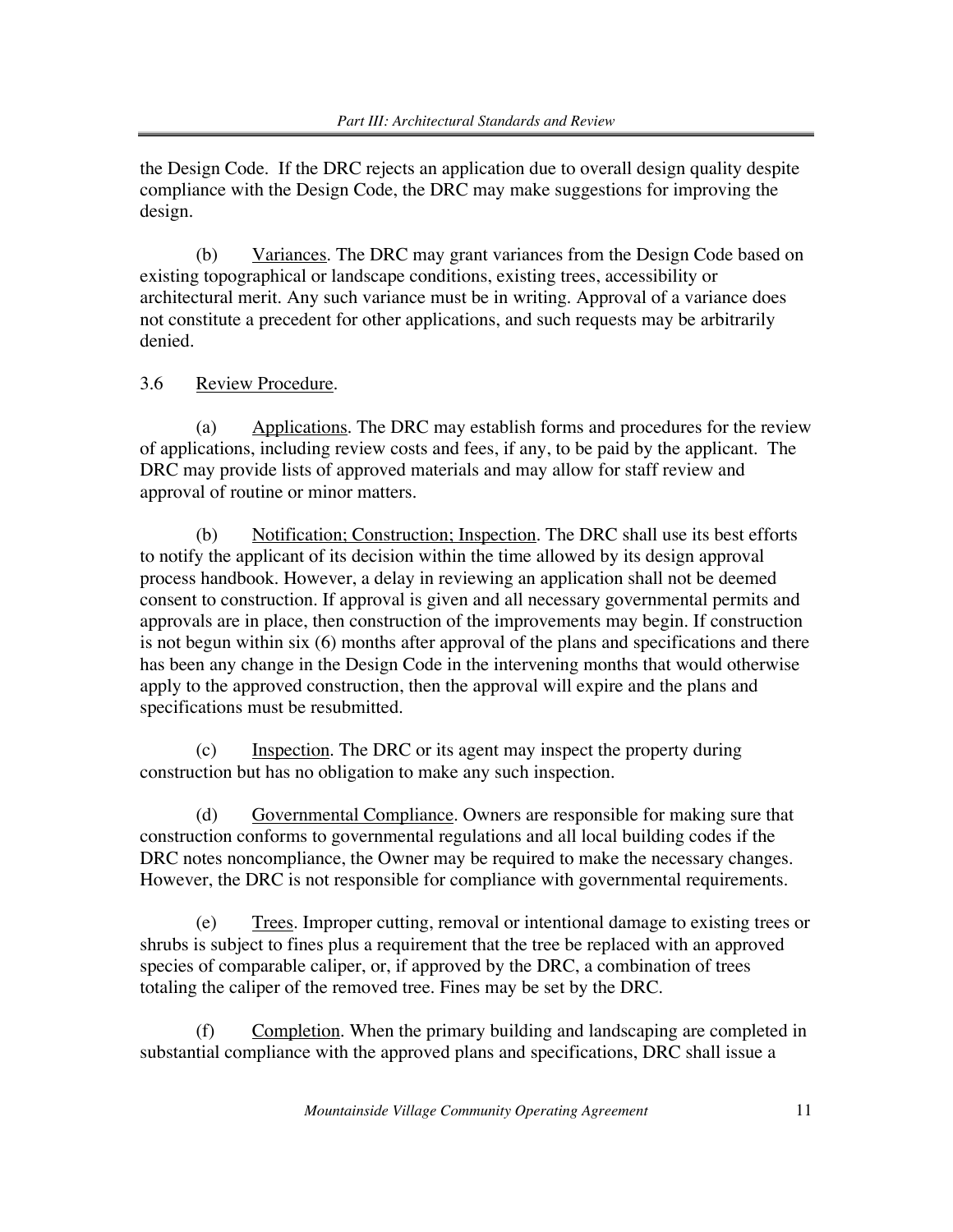the Design Code. If the DRC rejects an application due to overall design quality despite compliance with the Design Code, the DRC may make suggestions for improving the design.

(b) Variances. The DRC may grant variances from the Design Code based on existing topographical or landscape conditions, existing trees, accessibility or architectural merit. Any such variance must be in writing. Approval of a variance does not constitute a precedent for other applications, and such requests may be arbitrarily denied.

### 3.6 Review Procedure.

(a) Applications. The DRC may establish forms and procedures for the review of applications, including review costs and fees, if any, to be paid by the applicant. The DRC may provide lists of approved materials and may allow for staff review and approval of routine or minor matters.

(b) Notification; Construction; Inspection. The DRC shall use its best efforts to notify the applicant of its decision within the time allowed by its design approval process handbook. However, a delay in reviewing an application shall not be deemed consent to construction. If approval is given and all necessary governmental permits and approvals are in place, then construction of the improvements may begin. If construction is not begun within six (6) months after approval of the plans and specifications and there has been any change in the Design Code in the intervening months that would otherwise apply to the approved construction, then the approval will expire and the plans and specifications must be resubmitted.

(c) Inspection. The DRC or its agent may inspect the property during construction but has no obligation to make any such inspection.

(d) Governmental Compliance. Owners are responsible for making sure that construction conforms to governmental regulations and all local building codes if the DRC notes noncompliance, the Owner may be required to make the necessary changes. However, the DRC is not responsible for compliance with governmental requirements.

(e) Trees. Improper cutting, removal or intentional damage to existing trees or shrubs is subject to fines plus a requirement that the tree be replaced with an approved species of comparable caliper, or, if approved by the DRC, a combination of trees totaling the caliper of the removed tree. Fines may be set by the DRC.

(f) Completion. When the primary building and landscaping are completed in substantial compliance with the approved plans and specifications, DRC shall issue a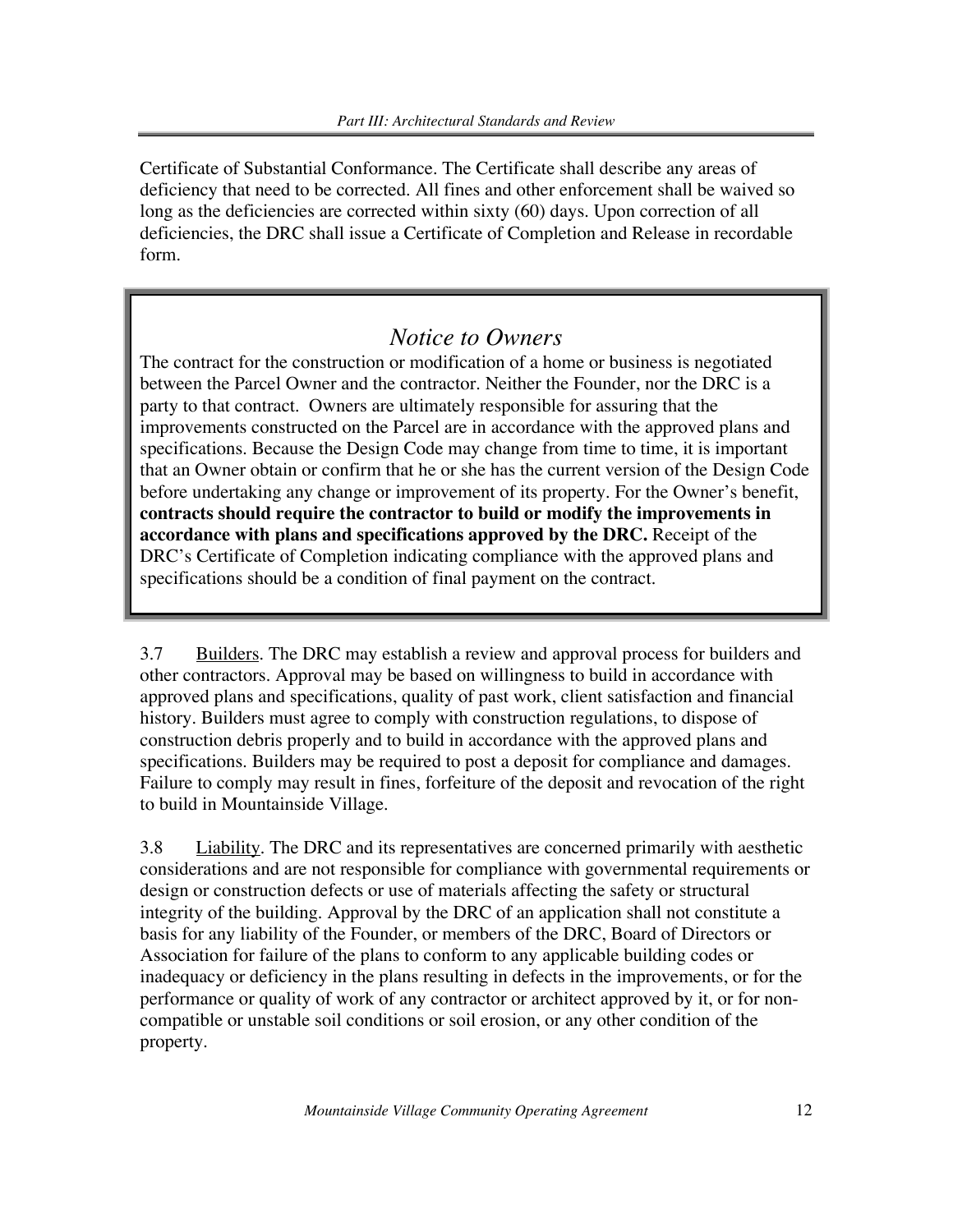Certificate of Substantial Conformance. The Certificate shall describe any areas of deficiency that need to be corrected. All fines and other enforcement shall be waived so long as the deficiencies are corrected within sixty (60) days. Upon correction of all deficiencies, the DRC shall issue a Certificate of Completion and Release in recordable form.

### *Notice to Owners*

The contract for the construction or modification of a home or business is negotiated between the Parcel Owner and the contractor. Neither the Founder, nor the DRC is a party to that contract. Owners are ultimately responsible for assuring that the improvements constructed on the Parcel are in accordance with the approved plans and specifications. Because the Design Code may change from time to time, it is important that an Owner obtain or confirm that he or she has the current version of the Design Code before undertaking any change or improvement of its property. For the Owner's benefit, **contracts should require the contractor to build or modify the improvements in accordance with plans and specifications approved by the DRC.** Receipt of the DRC's Certificate of Completion indicating compliance with the approved plans and specifications should be a condition of final payment on the contract.

3.7 Builders. The DRC may establish a review and approval process for builders and other contractors. Approval may be based on willingness to build in accordance with approved plans and specifications, quality of past work, client satisfaction and financial history. Builders must agree to comply with construction regulations, to dispose of construction debris properly and to build in accordance with the approved plans and specifications. Builders may be required to post a deposit for compliance and damages. Failure to comply may result in fines, forfeiture of the deposit and revocation of the right to build in Mountainside Village.

3.8 Liability. The DRC and its representatives are concerned primarily with aesthetic considerations and are not responsible for compliance with governmental requirements or design or construction defects or use of materials affecting the safety or structural integrity of the building. Approval by the DRC of an application shall not constitute a basis for any liability of the Founder, or members of the DRC, Board of Directors or Association for failure of the plans to conform to any applicable building codes or inadequacy or deficiency in the plans resulting in defects in the improvements, or for the performance or quality of work of any contractor or architect approved by it, or for noncompatible or unstable soil conditions or soil erosion, or any other condition of the property.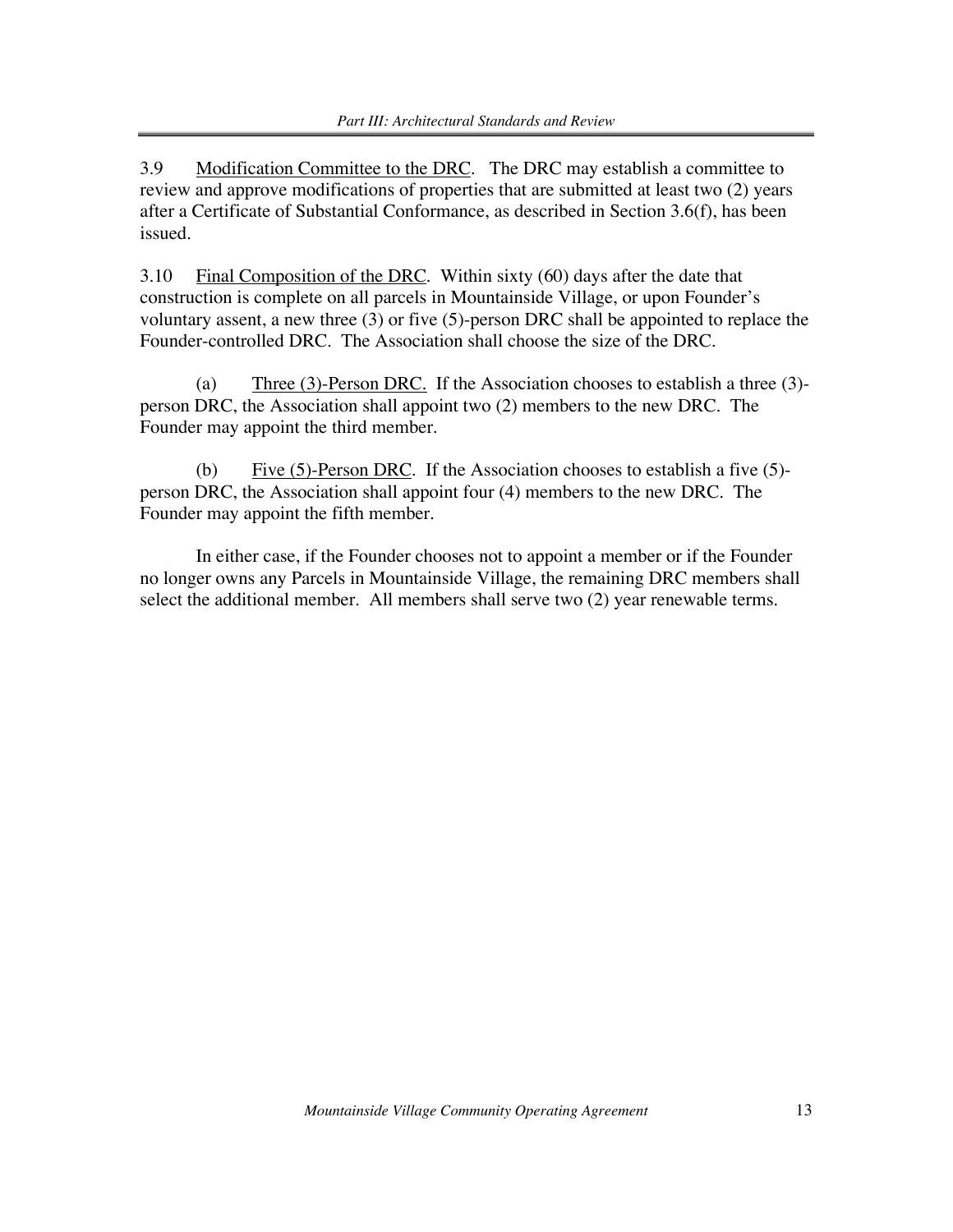3.9 Modification Committee to the DRC. The DRC may establish a committee to review and approve modifications of properties that are submitted at least two (2) years after a Certificate of Substantial Conformance, as described in Section 3.6(f), has been issued.

3.10 Final Composition of the DRC. Within sixty  $(60)$  days after the date that construction is complete on all parcels in Mountainside Village, or upon Founder's voluntary assent, a new three (3) or five (5)-person DRC shall be appointed to replace the Founder-controlled DRC. The Association shall choose the size of the DRC.

(a) Three (3)-Person DRC. If the Association chooses to establish a three (3) person DRC, the Association shall appoint two (2) members to the new DRC. The Founder may appoint the third member.

(b) Five  $(5)$ -Person DRC. If the Association chooses to establish a five  $(5)$ person DRC, the Association shall appoint four (4) members to the new DRC. The Founder may appoint the fifth member.

In either case, if the Founder chooses not to appoint a member or if the Founder no longer owns any Parcels in Mountainside Village, the remaining DRC members shall select the additional member. All members shall serve two (2) year renewable terms.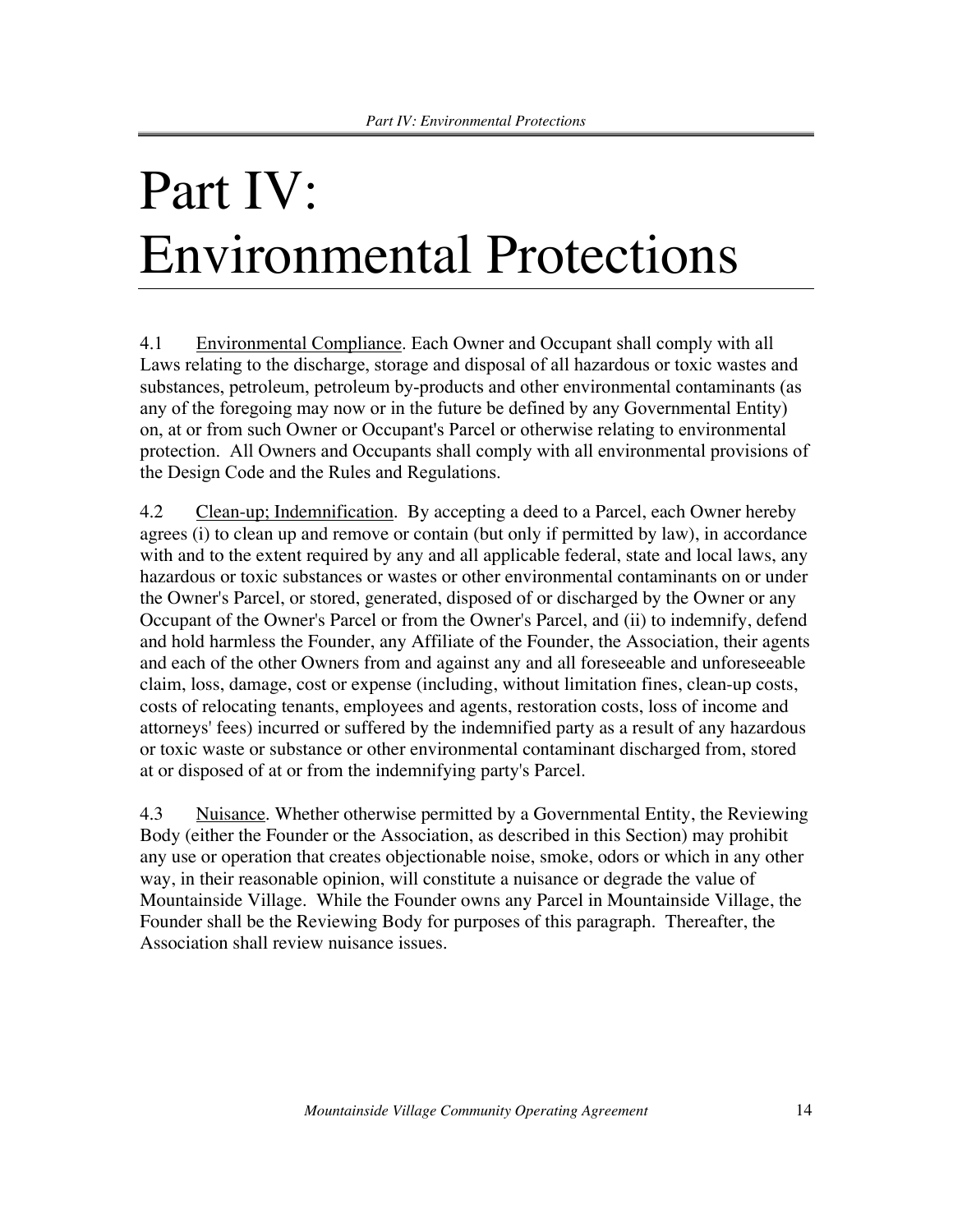# Part IV: Environmental Protections

4.1 Environmental Compliance. Each Owner and Occupant shall comply with all Laws relating to the discharge, storage and disposal of all hazardous or toxic wastes and substances, petroleum, petroleum by-products and other environmental contaminants (as any of the foregoing may now or in the future be defined by any Governmental Entity) on, at or from such Owner or Occupant's Parcel or otherwise relating to environmental protection. All Owners and Occupants shall comply with all environmental provisions of the Design Code and the Rules and Regulations.

4.2 Clean-up; Indemnification. By accepting a deed to a Parcel, each Owner hereby agrees (i) to clean up and remove or contain (but only if permitted by law), in accordance with and to the extent required by any and all applicable federal, state and local laws, any hazardous or toxic substances or wastes or other environmental contaminants on or under the Owner's Parcel, or stored, generated, disposed of or discharged by the Owner or any Occupant of the Owner's Parcel or from the Owner's Parcel, and (ii) to indemnify, defend and hold harmless the Founder, any Affiliate of the Founder, the Association, their agents and each of the other Owners from and against any and all foreseeable and unforeseeable claim, loss, damage, cost or expense (including, without limitation fines, clean-up costs, costs of relocating tenants, employees and agents, restoration costs, loss of income and attorneys' fees) incurred or suffered by the indemnified party as a result of any hazardous or toxic waste or substance or other environmental contaminant discharged from, stored at or disposed of at or from the indemnifying party's Parcel.

4.3 Nuisance. Whether otherwise permitted by a Governmental Entity, the Reviewing Body (either the Founder or the Association, as described in this Section) may prohibit any use or operation that creates objectionable noise, smoke, odors or which in any other way, in their reasonable opinion, will constitute a nuisance or degrade the value of Mountainside Village. While the Founder owns any Parcel in Mountainside Village, the Founder shall be the Reviewing Body for purposes of this paragraph. Thereafter, the Association shall review nuisance issues.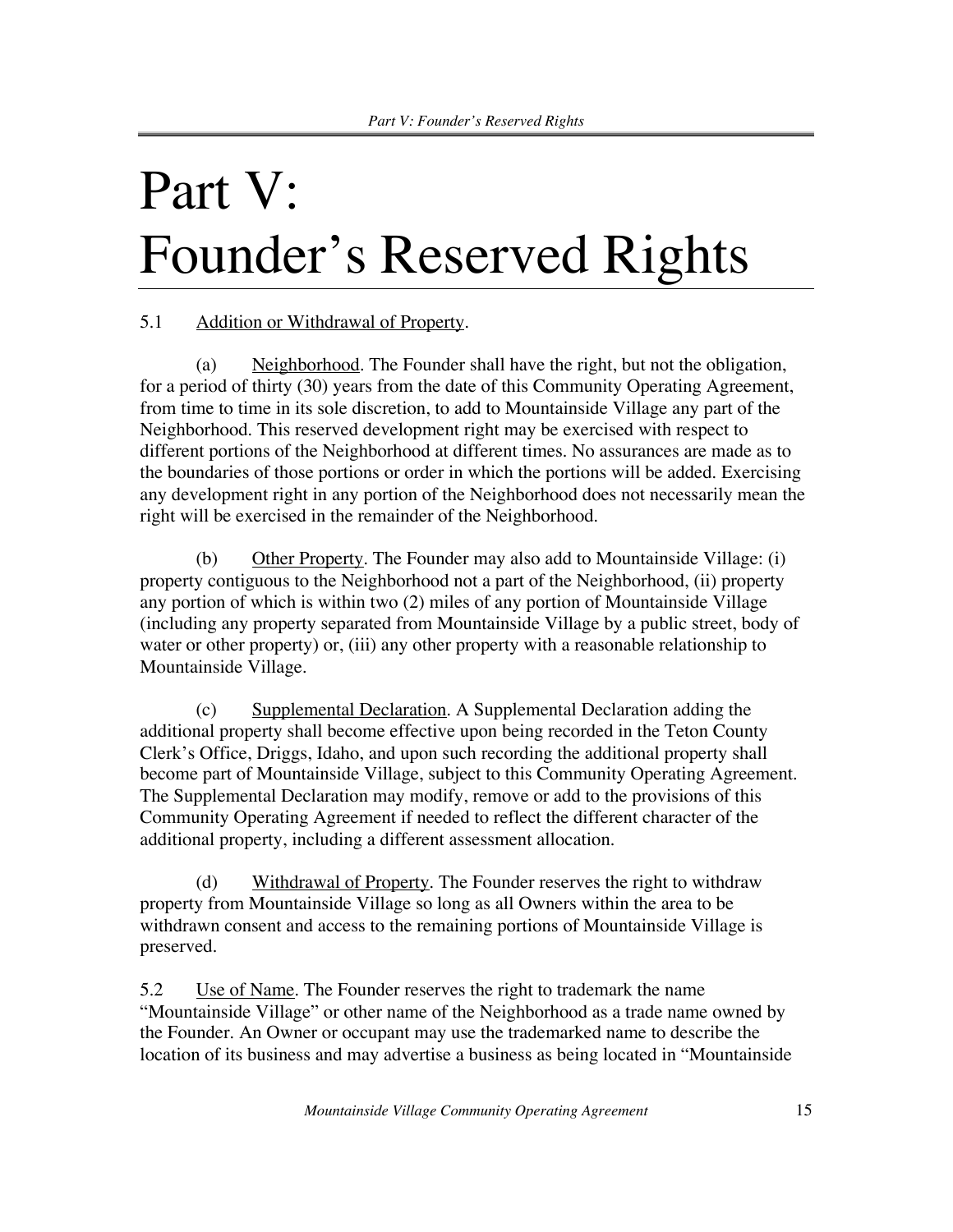# Part V: Founder's Reserved Rights

### 5.1 Addition or Withdrawal of Property.

(a) Neighborhood. The Founder shall have the right, but not the obligation, for a period of thirty (30) years from the date of this Community Operating Agreement, from time to time in its sole discretion, to add to Mountainside Village any part of the Neighborhood. This reserved development right may be exercised with respect to different portions of the Neighborhood at different times. No assurances are made as to the boundaries of those portions or order in which the portions will be added. Exercising any development right in any portion of the Neighborhood does not necessarily mean the right will be exercised in the remainder of the Neighborhood.

(b) Other Property. The Founder may also add to Mountainside Village: (i) property contiguous to the Neighborhood not a part of the Neighborhood, (ii) property any portion of which is within two (2) miles of any portion of Mountainside Village (including any property separated from Mountainside Village by a public street, body of water or other property) or, (iii) any other property with a reasonable relationship to Mountainside Village.

(c) Supplemental Declaration. A Supplemental Declaration adding the additional property shall become effective upon being recorded in the Teton County Clerk's Office, Driggs, Idaho, and upon such recording the additional property shall become part of Mountainside Village, subject to this Community Operating Agreement. The Supplemental Declaration may modify, remove or add to the provisions of this Community Operating Agreement if needed to reflect the different character of the additional property, including a different assessment allocation.

(d) Withdrawal of Property. The Founder reserves the right to withdraw property from Mountainside Village so long as all Owners within the area to be withdrawn consent and access to the remaining portions of Mountainside Village is preserved.

5.2 Use of Name. The Founder reserves the right to trademark the name "Mountainside Village" or other name of the Neighborhood as a trade name owned by the Founder. An Owner or occupant may use the trademarked name to describe the location of its business and may advertise a business as being located in "Mountainside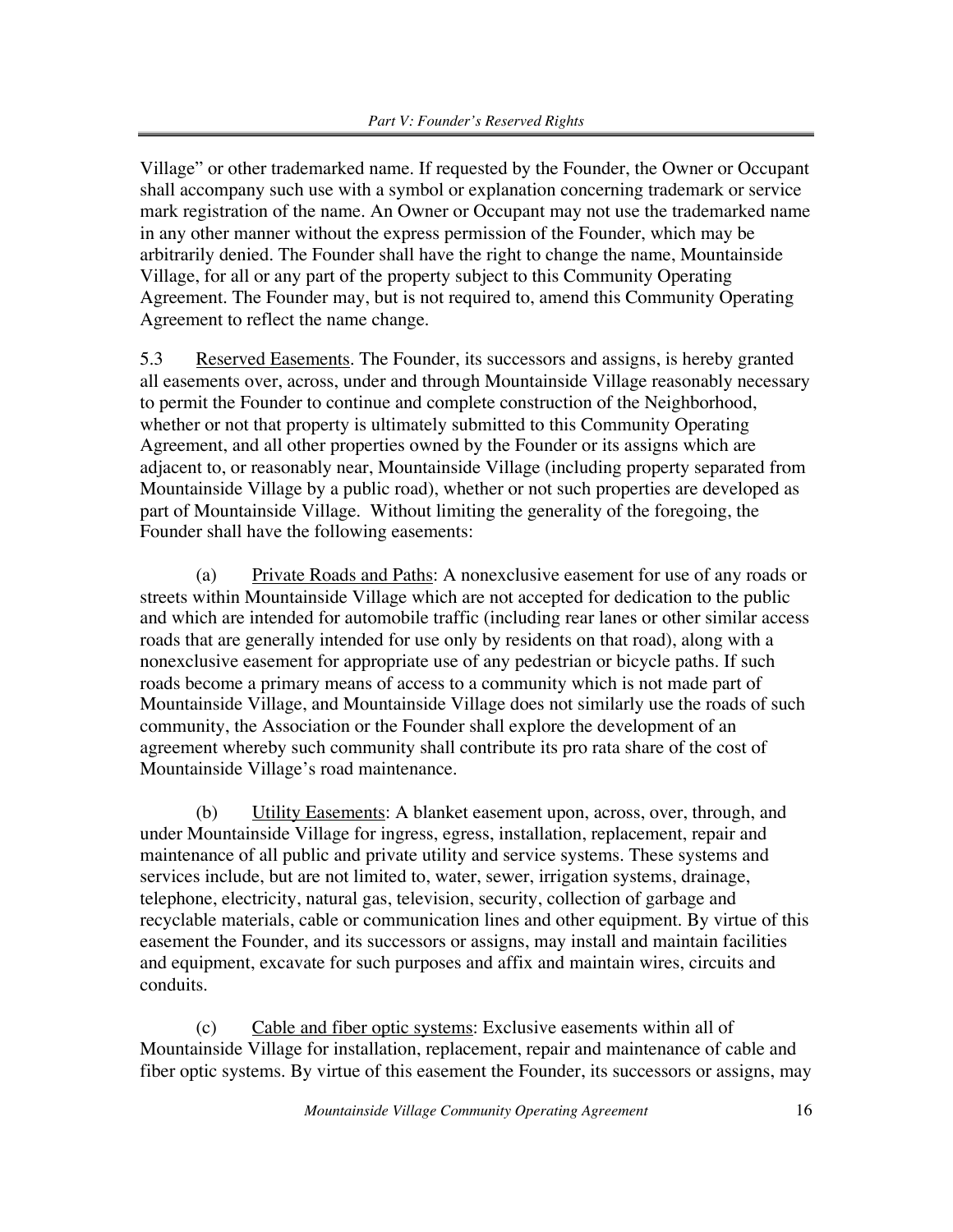Village" or other trademarked name. If requested by the Founder, the Owner or Occupant shall accompany such use with a symbol or explanation concerning trademark or service mark registration of the name. An Owner or Occupant may not use the trademarked name in any other manner without the express permission of the Founder, which may be arbitrarily denied. The Founder shall have the right to change the name, Mountainside Village, for all or any part of the property subject to this Community Operating Agreement. The Founder may, but is not required to, amend this Community Operating Agreement to reflect the name change.

5.3 Reserved Easements. The Founder, its successors and assigns, is hereby granted all easements over, across, under and through Mountainside Village reasonably necessary to permit the Founder to continue and complete construction of the Neighborhood, whether or not that property is ultimately submitted to this Community Operating Agreement, and all other properties owned by the Founder or its assigns which are adjacent to, or reasonably near, Mountainside Village (including property separated from Mountainside Village by a public road), whether or not such properties are developed as part of Mountainside Village. Without limiting the generality of the foregoing, the Founder shall have the following easements:

(a) Private Roads and Paths: A nonexclusive easement for use of any roads or streets within Mountainside Village which are not accepted for dedication to the public and which are intended for automobile traffic (including rear lanes or other similar access roads that are generally intended for use only by residents on that road), along with a nonexclusive easement for appropriate use of any pedestrian or bicycle paths. If such roads become a primary means of access to a community which is not made part of Mountainside Village, and Mountainside Village does not similarly use the roads of such community, the Association or the Founder shall explore the development of an agreement whereby such community shall contribute its pro rata share of the cost of Mountainside Village's road maintenance.

(b) Utility Easements: A blanket easement upon, across, over, through, and under Mountainside Village for ingress, egress, installation, replacement, repair and maintenance of all public and private utility and service systems. These systems and services include, but are not limited to, water, sewer, irrigation systems, drainage, telephone, electricity, natural gas, television, security, collection of garbage and recyclable materials, cable or communication lines and other equipment. By virtue of this easement the Founder, and its successors or assigns, may install and maintain facilities and equipment, excavate for such purposes and affix and maintain wires, circuits and conduits.

(c) Cable and fiber optic systems: Exclusive easements within all of Mountainside Village for installation, replacement, repair and maintenance of cable and fiber optic systems. By virtue of this easement the Founder, its successors or assigns, may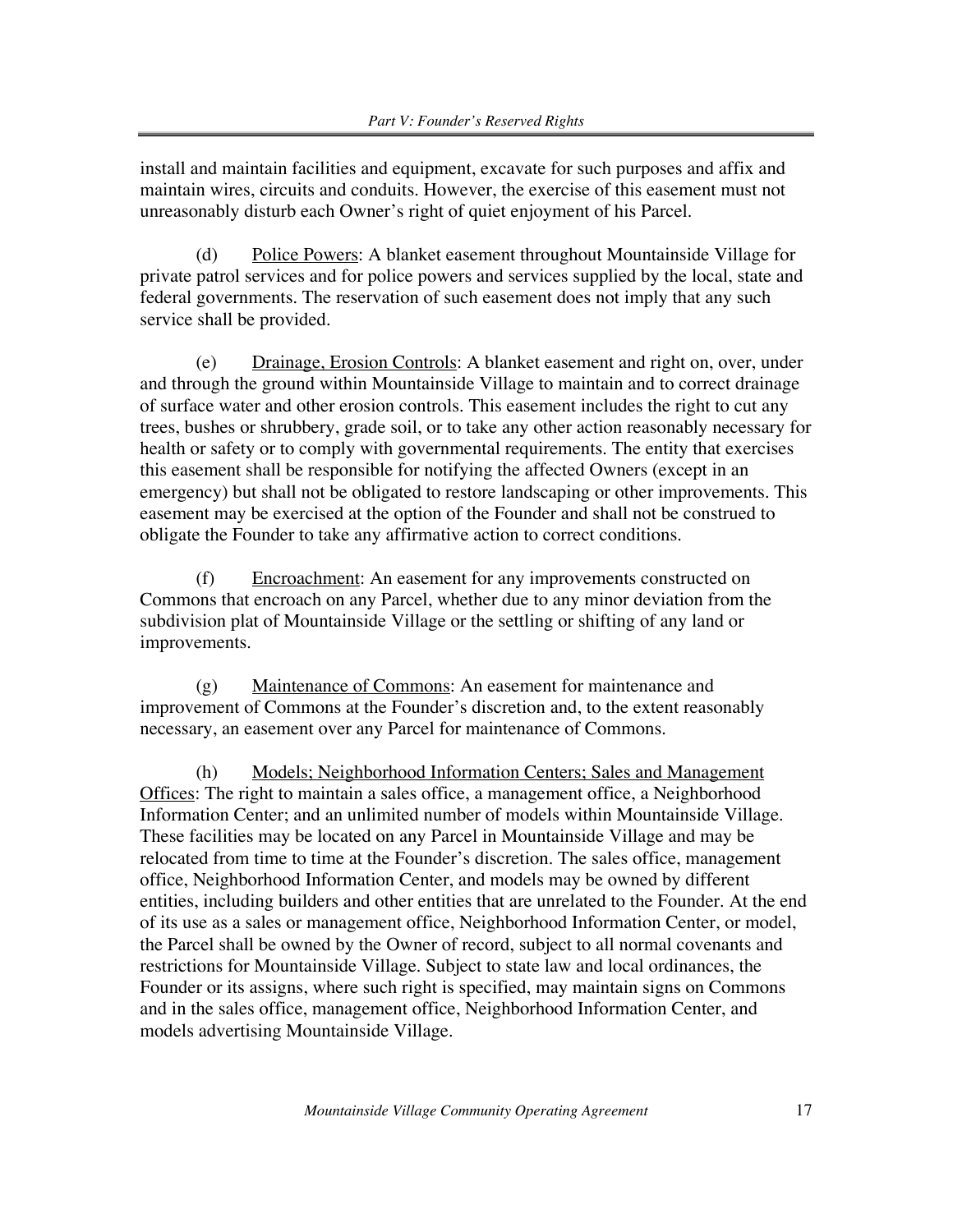install and maintain facilities and equipment, excavate for such purposes and affix and maintain wires, circuits and conduits. However, the exercise of this easement must not unreasonably disturb each Owner's right of quiet enjoyment of his Parcel.

(d) Police Powers: A blanket easement throughout Mountainside Village for private patrol services and for police powers and services supplied by the local, state and federal governments. The reservation of such easement does not imply that any such service shall be provided.

(e) Drainage, Erosion Controls: A blanket easement and right on, over, under and through the ground within Mountainside Village to maintain and to correct drainage of surface water and other erosion controls. This easement includes the right to cut any trees, bushes or shrubbery, grade soil, or to take any other action reasonably necessary for health or safety or to comply with governmental requirements. The entity that exercises this easement shall be responsible for notifying the affected Owners (except in an emergency) but shall not be obligated to restore landscaping or other improvements. This easement may be exercised at the option of the Founder and shall not be construed to obligate the Founder to take any affirmative action to correct conditions.

(f) Encroachment: An easement for any improvements constructed on Commons that encroach on any Parcel, whether due to any minor deviation from the subdivision plat of Mountainside Village or the settling or shifting of any land or improvements.

(g) Maintenance of Commons: An easement for maintenance and improvement of Commons at the Founder's discretion and, to the extent reasonably necessary, an easement over any Parcel for maintenance of Commons.

(h) Models; Neighborhood Information Centers; Sales and Management Offices: The right to maintain a sales office, a management office, a Neighborhood Information Center; and an unlimited number of models within Mountainside Village. These facilities may be located on any Parcel in Mountainside Village and may be relocated from time to time at the Founder's discretion. The sales office, management office, Neighborhood Information Center, and models may be owned by different entities, including builders and other entities that are unrelated to the Founder. At the end of its use as a sales or management office, Neighborhood Information Center, or model, the Parcel shall be owned by the Owner of record, subject to all normal covenants and restrictions for Mountainside Village. Subject to state law and local ordinances, the Founder or its assigns, where such right is specified, may maintain signs on Commons and in the sales office, management office, Neighborhood Information Center, and models advertising Mountainside Village.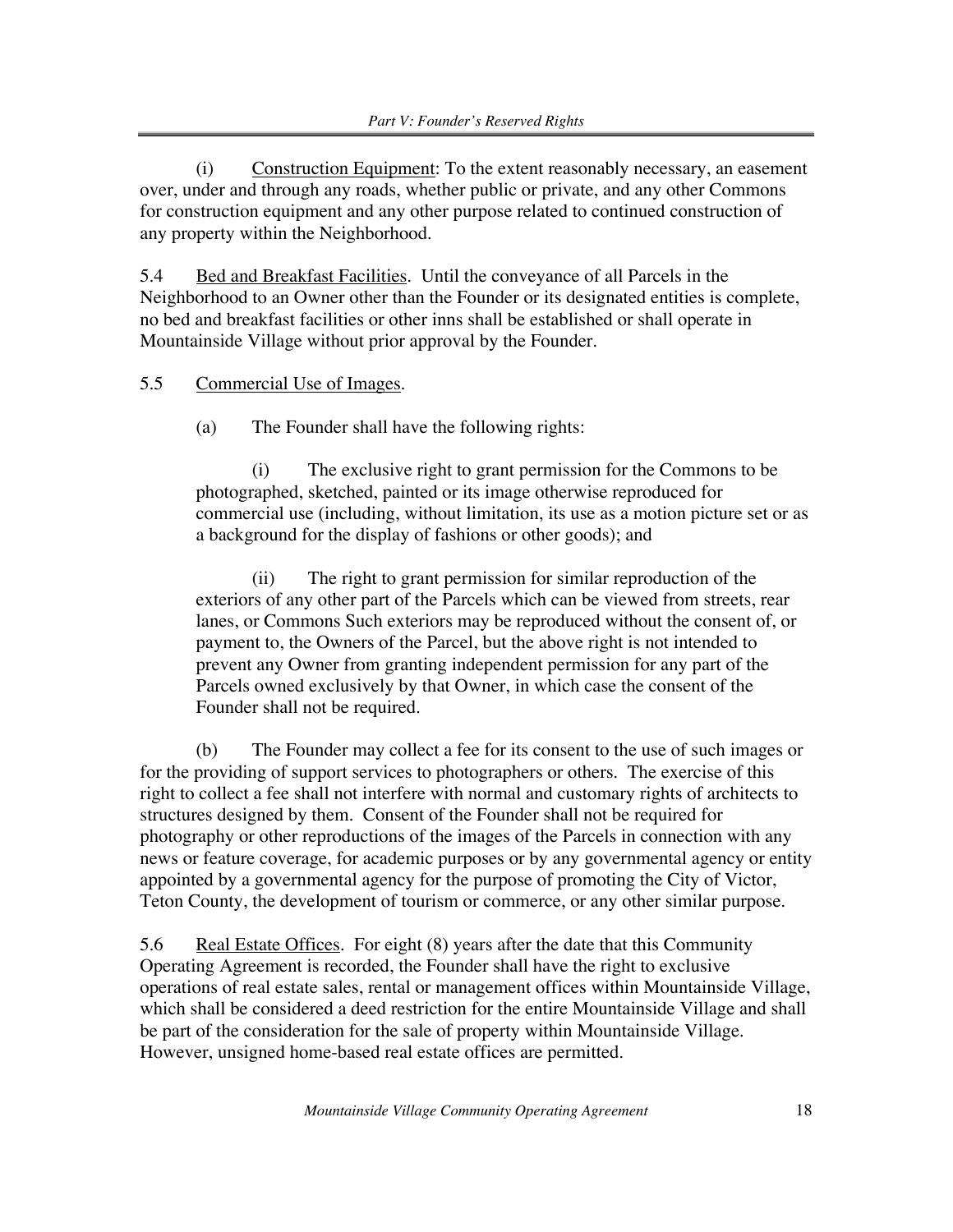(i) Construction Equipment: To the extent reasonably necessary, an easement over, under and through any roads, whether public or private, and any other Commons for construction equipment and any other purpose related to continued construction of any property within the Neighborhood.

5.4 Bed and Breakfast Facilities. Until the conveyance of all Parcels in the Neighborhood to an Owner other than the Founder or its designated entities is complete, no bed and breakfast facilities or other inns shall be established or shall operate in Mountainside Village without prior approval by the Founder.

#### 5.5 Commercial Use of Images.

(a) The Founder shall have the following rights:

(i) The exclusive right to grant permission for the Commons to be photographed, sketched, painted or its image otherwise reproduced for commercial use (including, without limitation, its use as a motion picture set or as a background for the display of fashions or other goods); and

(ii) The right to grant permission for similar reproduction of the exteriors of any other part of the Parcels which can be viewed from streets, rear lanes, or Commons Such exteriors may be reproduced without the consent of, or payment to, the Owners of the Parcel, but the above right is not intended to prevent any Owner from granting independent permission for any part of the Parcels owned exclusively by that Owner, in which case the consent of the Founder shall not be required.

(b) The Founder may collect a fee for its consent to the use of such images or for the providing of support services to photographers or others. The exercise of this right to collect a fee shall not interfere with normal and customary rights of architects to structures designed by them. Consent of the Founder shall not be required for photography or other reproductions of the images of the Parcels in connection with any news or feature coverage, for academic purposes or by any governmental agency or entity appointed by a governmental agency for the purpose of promoting the City of Victor, Teton County, the development of tourism or commerce, or any other similar purpose.

5.6 Real Estate Offices. For eight (8) years after the date that this Community Operating Agreement is recorded, the Founder shall have the right to exclusive operations of real estate sales, rental or management offices within Mountainside Village, which shall be considered a deed restriction for the entire Mountainside Village and shall be part of the consideration for the sale of property within Mountainside Village. However, unsigned home-based real estate offices are permitted.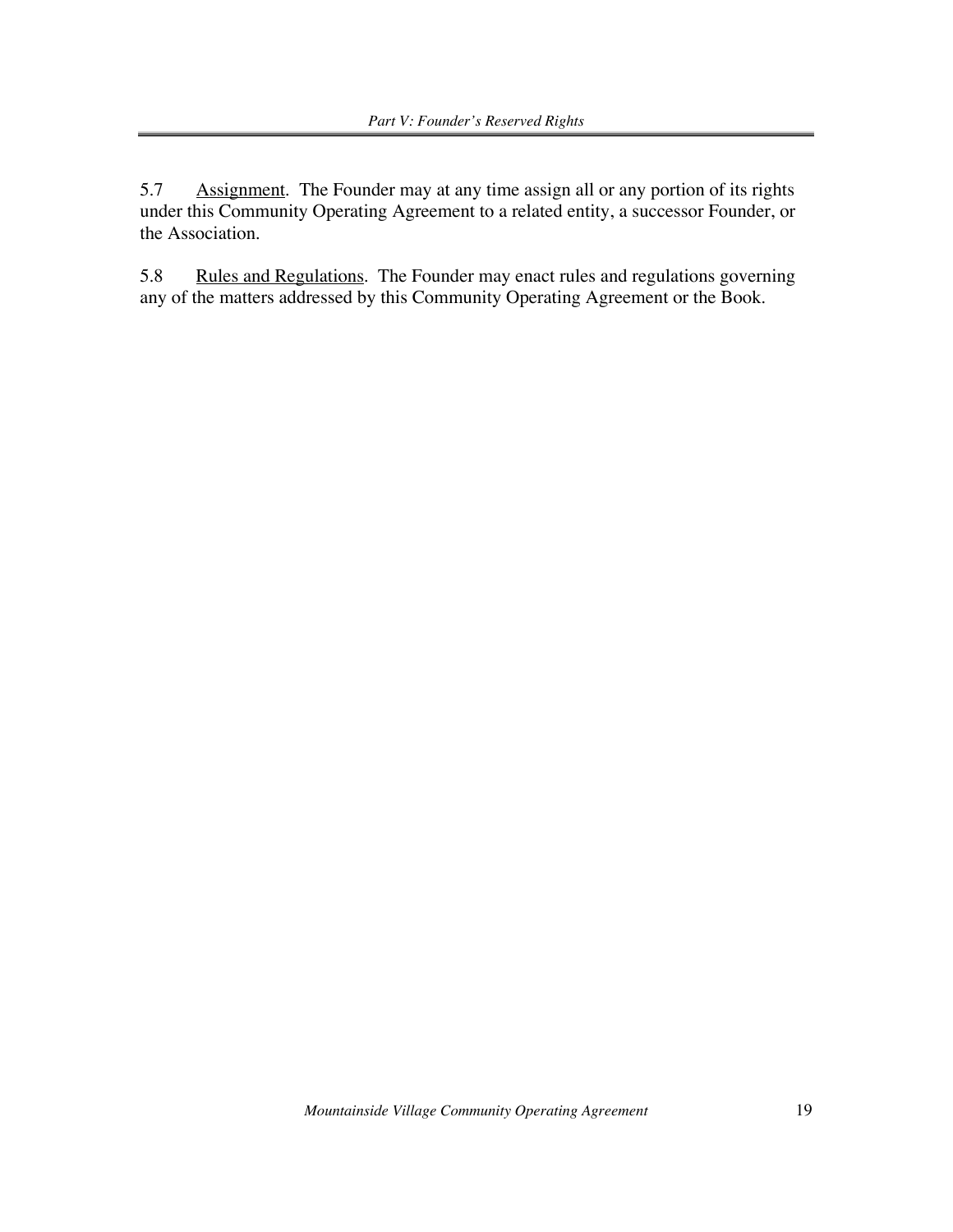5.7 Assignment. The Founder may at any time assign all or any portion of its rights under this Community Operating Agreement to a related entity, a successor Founder, or the Association.

5.8 Rules and Regulations. The Founder may enact rules and regulations governing any of the matters addressed by this Community Operating Agreement or the Book.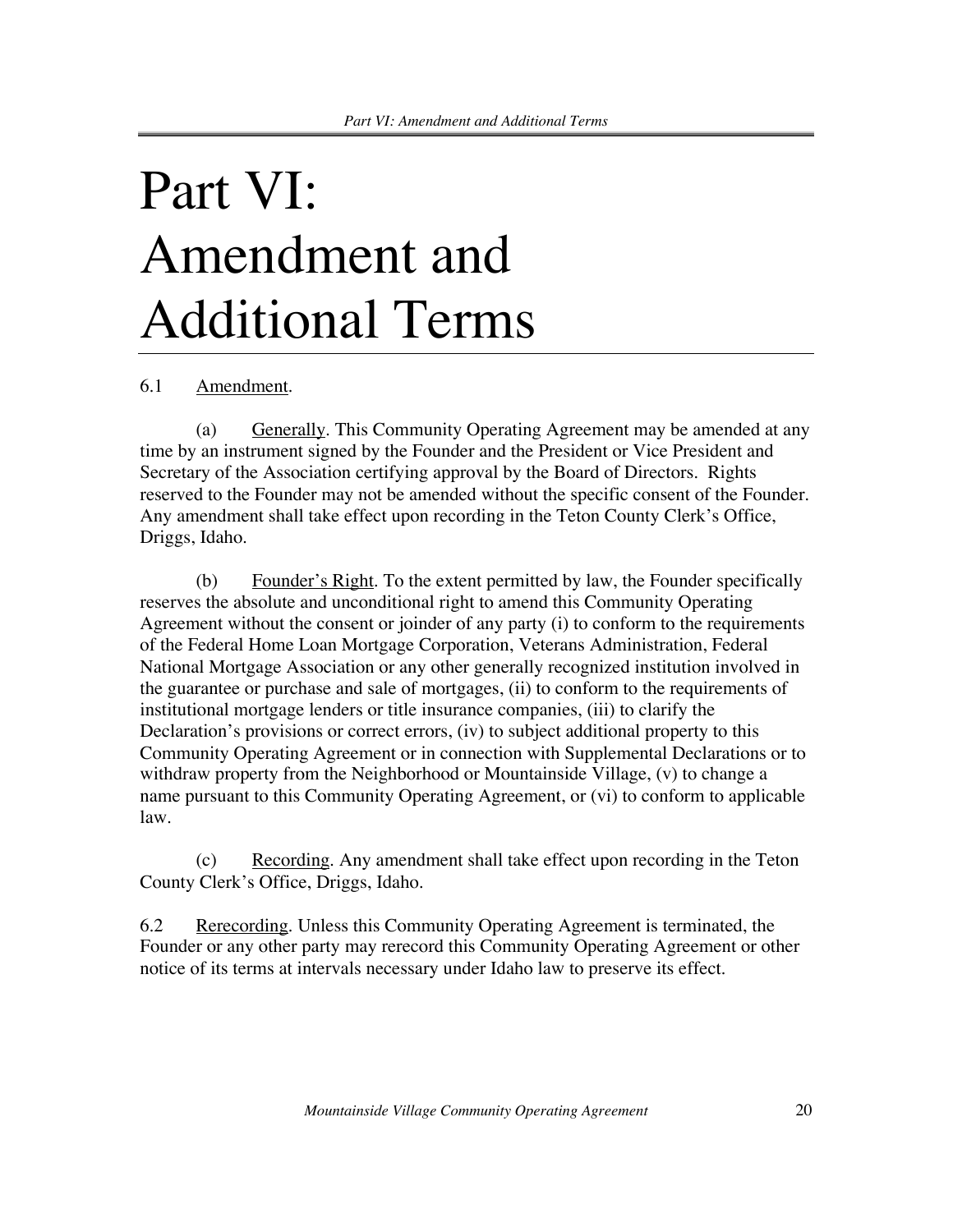# Part VI: Amendment and Additional Terms

6.1 Amendment.

(a) Generally. This Community Operating Agreement may be amended at any time by an instrument signed by the Founder and the President or Vice President and Secretary of the Association certifying approval by the Board of Directors. Rights reserved to the Founder may not be amended without the specific consent of the Founder. Any amendment shall take effect upon recording in the Teton County Clerk's Office, Driggs, Idaho.

(b) Founder's Right. To the extent permitted by law, the Founder specifically reserves the absolute and unconditional right to amend this Community Operating Agreement without the consent or joinder of any party (i) to conform to the requirements of the Federal Home Loan Mortgage Corporation, Veterans Administration, Federal National Mortgage Association or any other generally recognized institution involved in the guarantee or purchase and sale of mortgages, (ii) to conform to the requirements of institutional mortgage lenders or title insurance companies, (iii) to clarify the Declaration's provisions or correct errors, (iv) to subject additional property to this Community Operating Agreement or in connection with Supplemental Declarations or to withdraw property from the Neighborhood or Mountainside Village, (v) to change a name pursuant to this Community Operating Agreement, or (vi) to conform to applicable law.

(c) Recording. Any amendment shall take effect upon recording in the Teton County Clerk's Office, Driggs, Idaho.

6.2 Rerecording. Unless this Community Operating Agreement is terminated, the Founder or any other party may rerecord this Community Operating Agreement or other notice of its terms at intervals necessary under Idaho law to preserve its effect.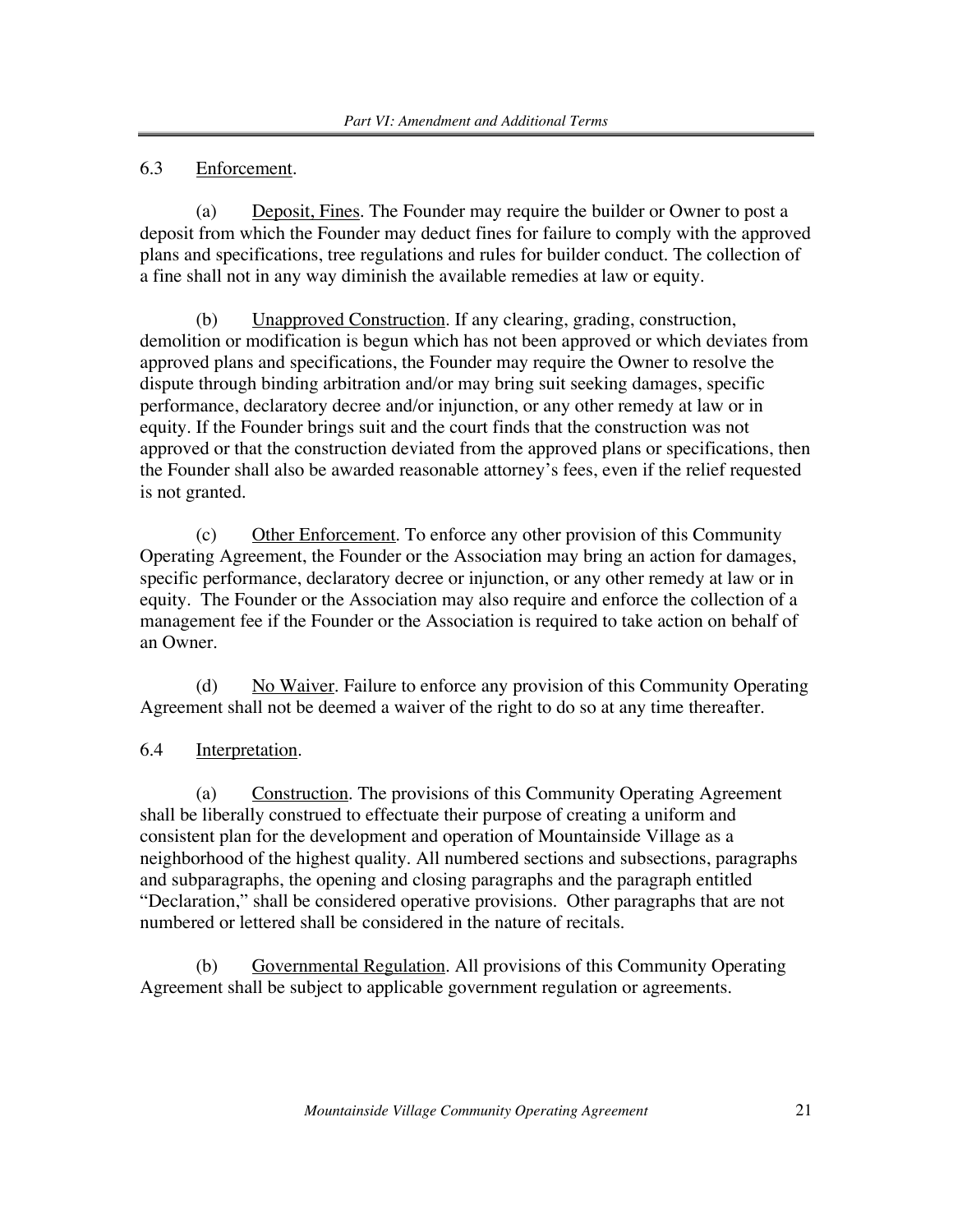### 6.3 Enforcement.

(a) Deposit, Fines. The Founder may require the builder or Owner to post a deposit from which the Founder may deduct fines for failure to comply with the approved plans and specifications, tree regulations and rules for builder conduct. The collection of a fine shall not in any way diminish the available remedies at law or equity.

(b) Unapproved Construction. If any clearing, grading, construction, demolition or modification is begun which has not been approved or which deviates from approved plans and specifications, the Founder may require the Owner to resolve the dispute through binding arbitration and/or may bring suit seeking damages, specific performance, declaratory decree and/or injunction, or any other remedy at law or in equity. If the Founder brings suit and the court finds that the construction was not approved or that the construction deviated from the approved plans or specifications, then the Founder shall also be awarded reasonable attorney's fees, even if the relief requested is not granted.

(c) Other Enforcement. To enforce any other provision of this Community Operating Agreement, the Founder or the Association may bring an action for damages, specific performance, declaratory decree or injunction, or any other remedy at law or in equity. The Founder or the Association may also require and enforce the collection of a management fee if the Founder or the Association is required to take action on behalf of an Owner.

(d) No Waiver. Failure to enforce any provision of this Community Operating Agreement shall not be deemed a waiver of the right to do so at any time thereafter.

### 6.4 Interpretation.

(a) Construction. The provisions of this Community Operating Agreement shall be liberally construed to effectuate their purpose of creating a uniform and consistent plan for the development and operation of Mountainside Village as a neighborhood of the highest quality. All numbered sections and subsections, paragraphs and subparagraphs, the opening and closing paragraphs and the paragraph entitled "Declaration," shall be considered operative provisions. Other paragraphs that are not numbered or lettered shall be considered in the nature of recitals.

(b) Governmental Regulation. All provisions of this Community Operating Agreement shall be subject to applicable government regulation or agreements.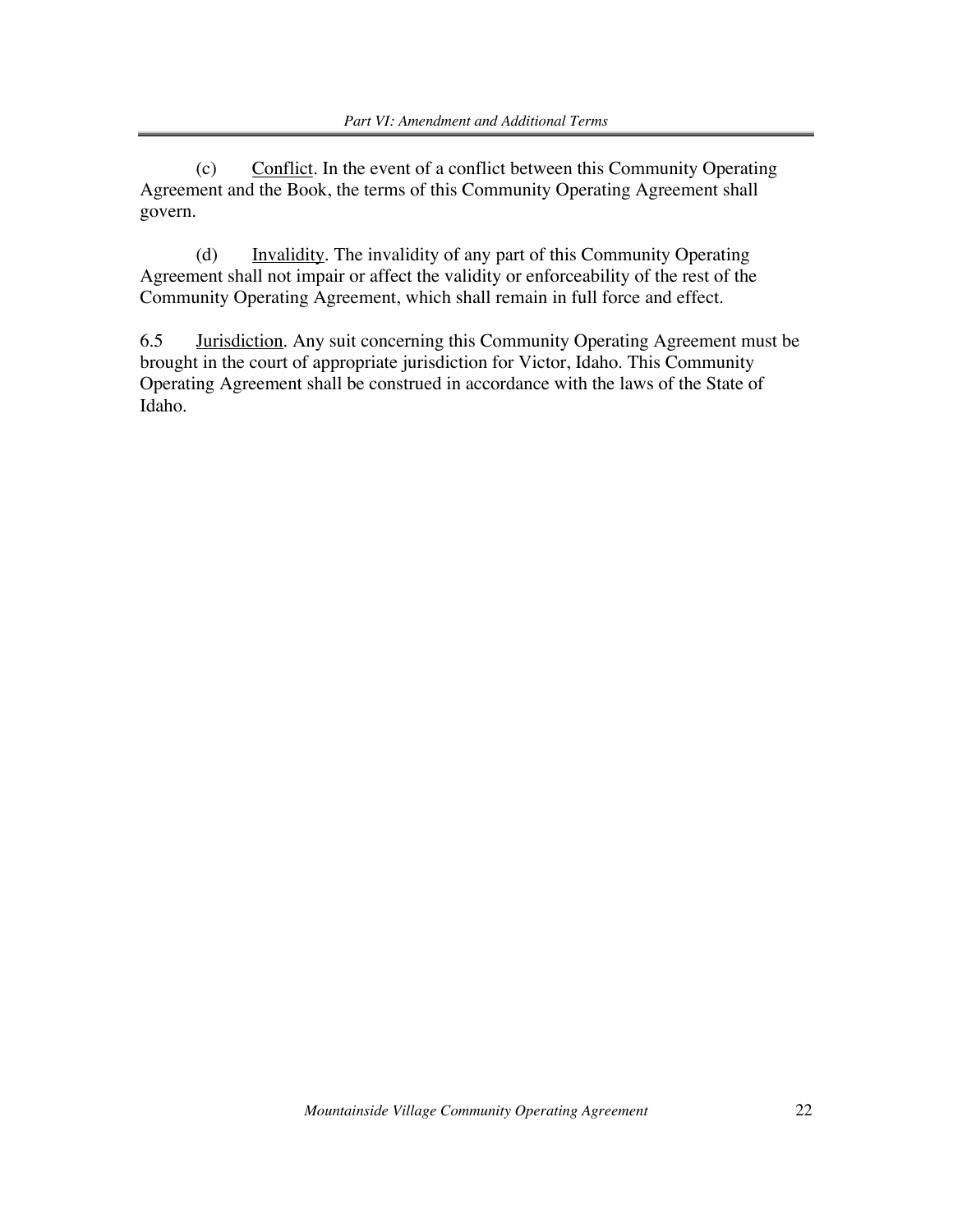(c) Conflict. In the event of a conflict between this Community Operating Agreement and the Book, the terms of this Community Operating Agreement shall govern.

(d) Invalidity. The invalidity of any part of this Community Operating Agreement shall not impair or affect the validity or enforceability of the rest of the Community Operating Agreement, which shall remain in full force and effect.

6.5 Jurisdiction. Any suit concerning this Community Operating Agreement must be brought in the court of appropriate jurisdiction for Victor, Idaho. This Community Operating Agreement shall be construed in accordance with the laws of the State of Idaho.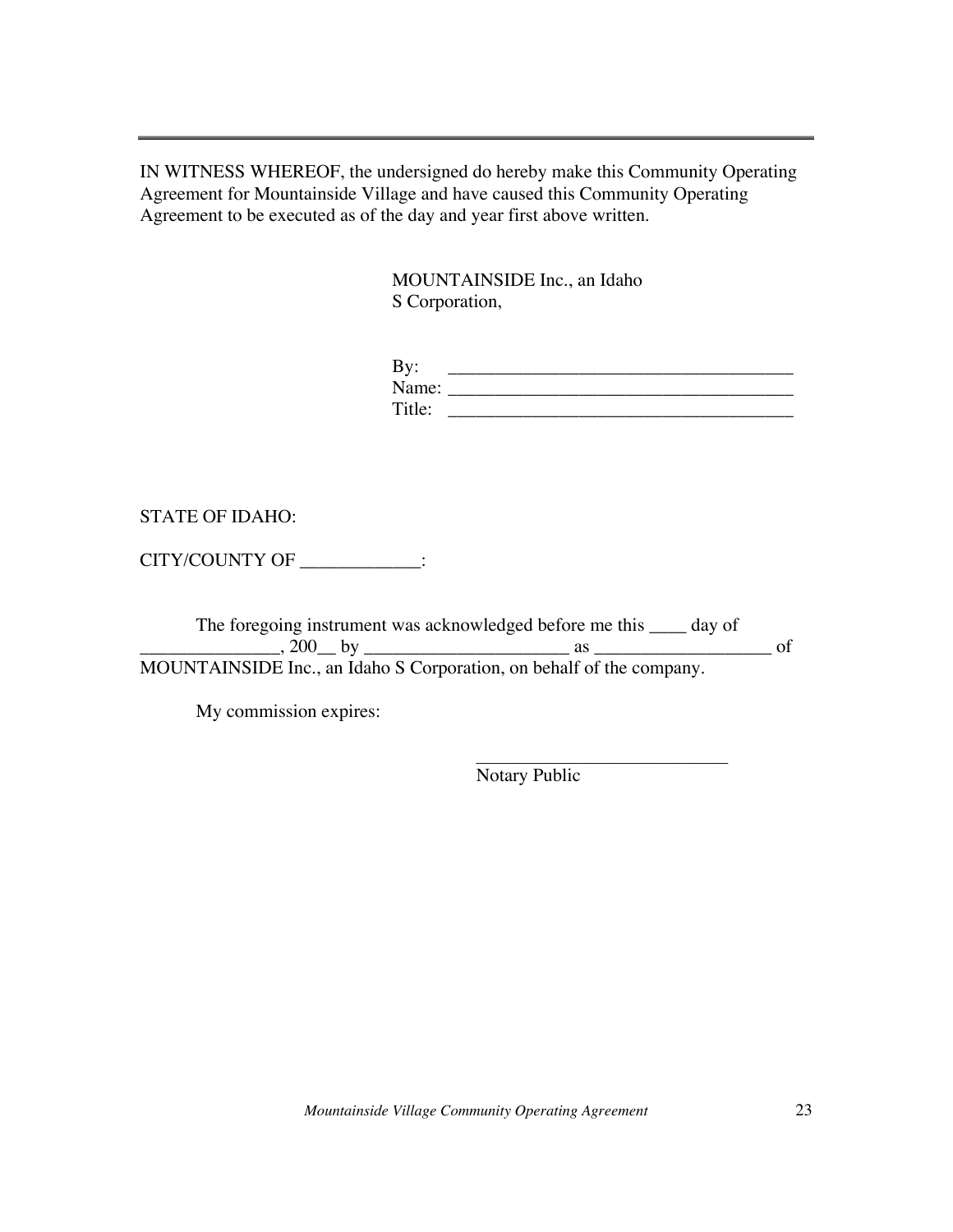IN WITNESS WHEREOF, the undersigned do hereby make this Community Operating Agreement for Mountainside Village and have caused this Community Operating Agreement to be executed as of the day and year first above written.

> MOUNTAINSIDE Inc., an Idaho S Corporation,

| By:    |  |
|--------|--|
| Name:  |  |
| Title: |  |

STATE OF IDAHO:

CITY/COUNTY OF \_\_\_\_\_\_\_\_\_\_\_\_:

The foregoing instrument was acknowledged before me this \_\_\_\_ day of \_\_\_\_\_\_\_\_\_\_\_\_\_\_\_, 200\_\_ by \_\_\_\_\_\_\_\_\_\_\_\_\_\_\_\_\_\_\_\_\_\_ as \_\_\_\_\_\_\_\_\_\_\_\_\_\_\_\_\_\_\_ of MOUNTAINSIDE Inc., an Idaho S Corporation, on behalf of the company.

My commission expires:

Notary Public

 $\mathcal{L}_\text{max}$ 

*Mountainside Village Community Operating Agreement* 23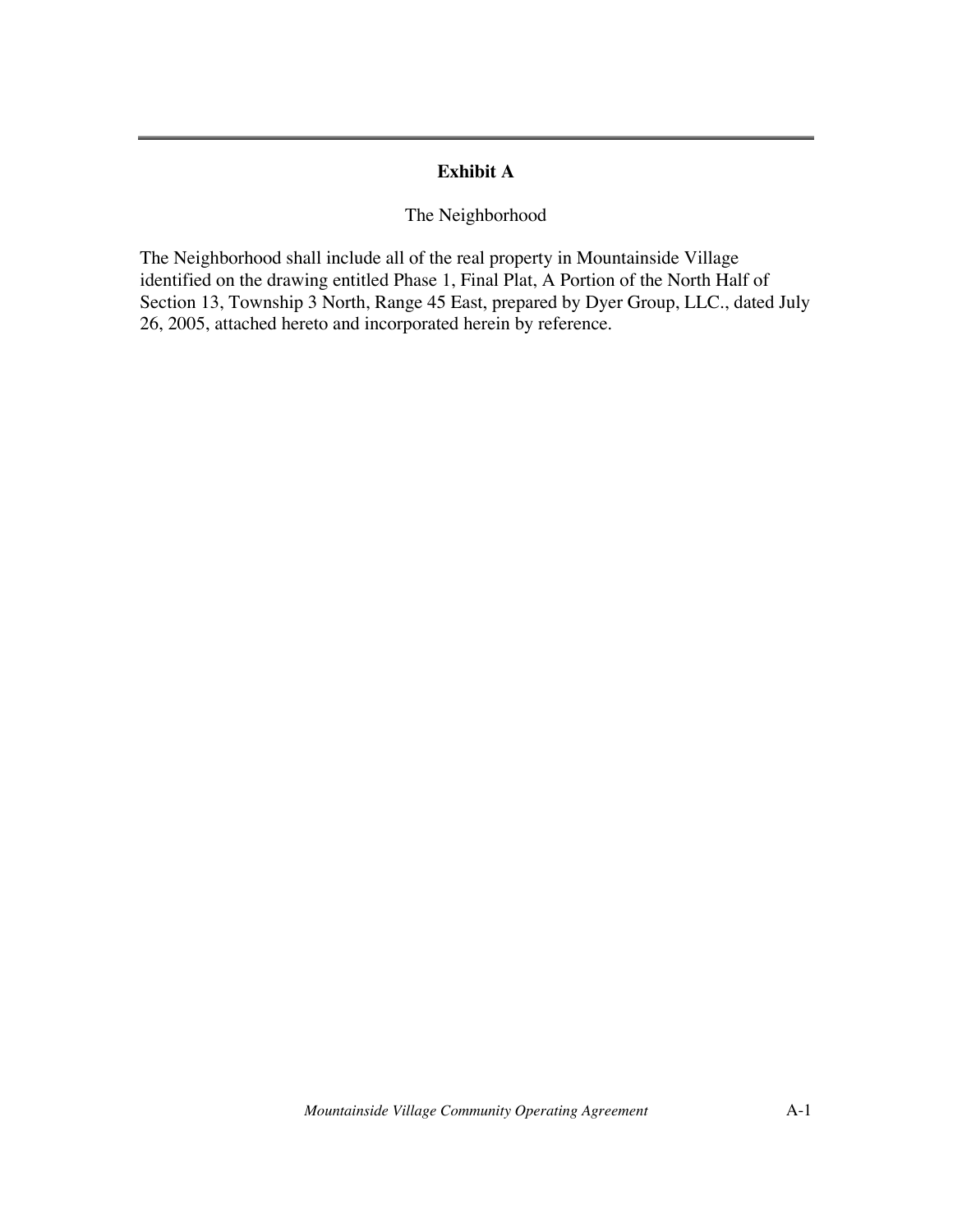### **Exhibit A**

#### The Neighborhood

The Neighborhood shall include all of the real property in Mountainside Village identified on the drawing entitled Phase 1, Final Plat, A Portion of the North Half of Section 13, Township 3 North, Range 45 East, prepared by Dyer Group, LLC., dated July 26, 2005, attached hereto and incorporated herein by reference.